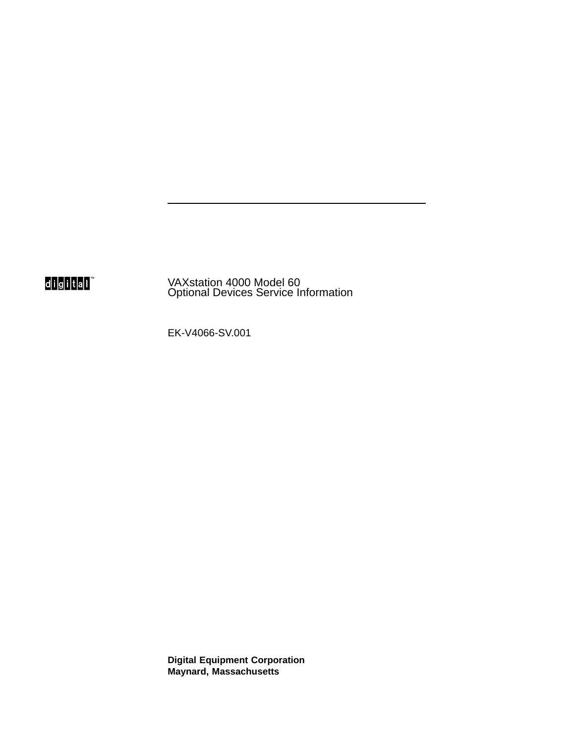digital

VAXstation 4000 Model 60 Optional Devices Service Information

EK-V4066-SV.001

**Digital Equipment Corporation Maynard, Massachusetts**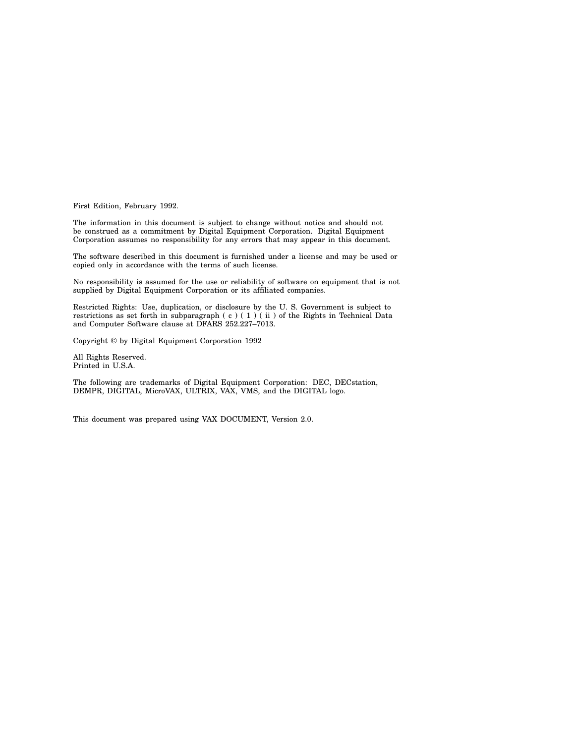First Edition, February 1992.

The information in this document is subject to change without notice and should not be construed as a commitment by Digital Equipment Corporation. Digital Equipment Corporation assumes no responsibility for any errors that may appear in this document.

The software described in this document is furnished under a license and may be used or copied only in accordance with the terms of such license.

No responsibility is assumed for the use or reliability of software on equipment that is not supplied by Digital Equipment Corporation or its affiliated companies.

Restricted Rights: Use, duplication, or disclosure by the U. S. Government is subject to restrictions as set forth in subparagraph (c) (1) (ii) of the Rights in Technical Data and Computer Software clause at DFARS 252.227–7013.

Copyright © by Digital Equipment Corporation 1992

All Rights Reserved. Printed in U.S.A.

The following are trademarks of Digital Equipment Corporation: DEC, DECstation, DEMPR, DIGITAL, MicroVAX, ULTRIX, VAX, VMS, and the DIGITAL logo.

This document was prepared using VAX DOCUMENT, Version 2.0.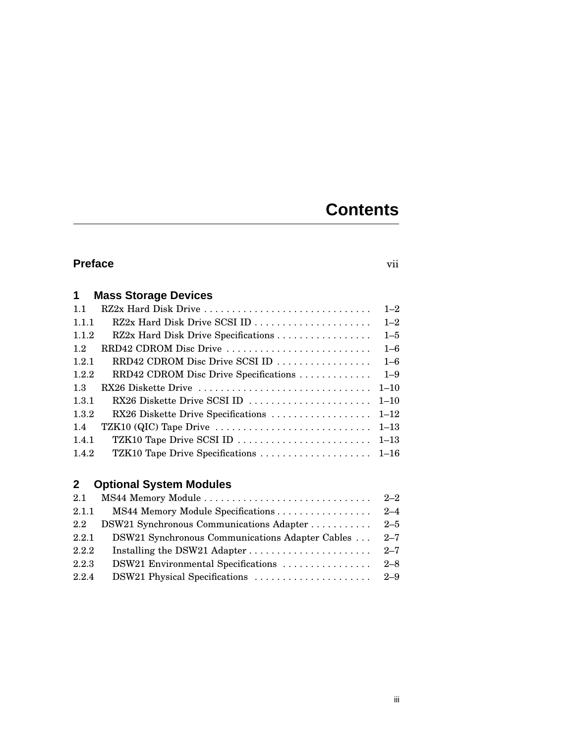## **Contents**

## **Preface** vii

| $\mathbf 1$ | <b>Mass Storage Devices</b>           |          |
|-------------|---------------------------------------|----------|
| 1.1         | RZ2x Hard Disk Drive                  | $1 - 2$  |
| 1.1.1       | RZ2x Hard Disk Drive SCSI ID          | $1 - 2$  |
| 1.1.2       | RZ2x Hard Disk Drive Specifications   | $1 - 5$  |
| 1.2         | RRD42 CDROM Disc Drive                | $1 - 6$  |
| 1.2.1       | RRD42 CDROM Disc Drive SCSI ID        | $1 - 6$  |
| 1.2.2       | RRD42 CDROM Disc Drive Specifications | $1 - 9$  |
| 1.3         | RX26 Diskette Drive                   | $1 - 10$ |
| 1.3.1       | RX26 Diskette Drive SCSI ID           | $1 - 10$ |
| 1.3.2       | RX26 Diskette Drive Specifications    | $1 - 12$ |
| 1.4         | TZK10 (QIC) Tape Drive                | $1 - 13$ |
| 1.4.1       | TZK10 Tape Drive SCSI ID              | $1 - 13$ |
| 1.4.2       | TZK10 Tape Drive Specifications       | $1 - 16$ |

## **2 Optional System Modules**

| 2.1              |                                                 | $2 - 2$ |
|------------------|-------------------------------------------------|---------|
| 2.1.1            | MS44 Memory Module Specifications 2–4           |         |
| $2.2\phantom{0}$ | DSW21 Synchronous Communications Adapter 2–5    |         |
| 2.2.1            | DSW21 Synchronous Communications Adapter Cables | $2 - 7$ |
| 2.2.2            |                                                 |         |
| 2.2.3            |                                                 |         |
| 2.2.4            |                                                 |         |
|                  |                                                 |         |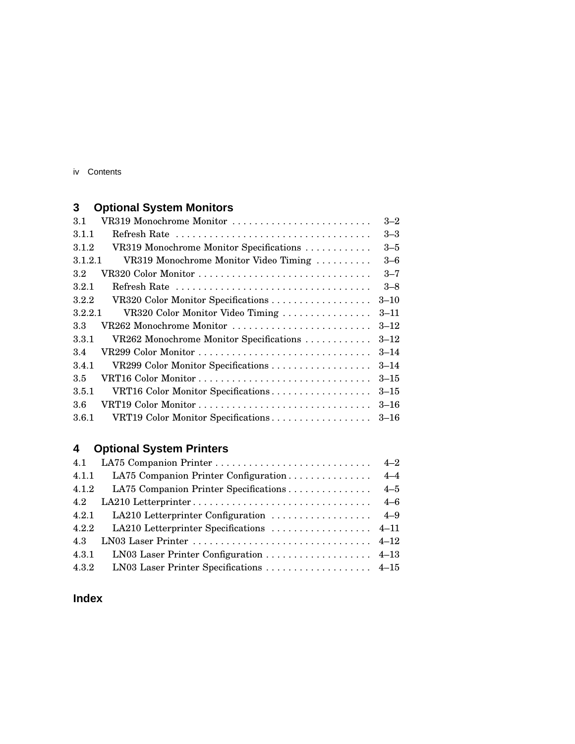iv Contents

## **3 Optional System Monitors**

| 3.1     | VR319 Monochrome Monitor                | $3 - 2$  |
|---------|-----------------------------------------|----------|
| 3.1.1   |                                         | $3 - 3$  |
| 3.1.2   | VR319 Monochrome Monitor Specifications | $3 - 5$  |
| 3.1.2.1 | VR319 Monochrome Monitor Video Timing   | $3 - 6$  |
| 3.2     |                                         | $3 - 7$  |
| 3.2.1   | Refresh Rate                            | $3 - 8$  |
| 3.2.2   | VR320 Color Monitor Specifications      | $3 - 10$ |
| 3.2.2.1 | VR320 Color Monitor Video Timing        | $3 - 11$ |
| 3.3     | VR262 Monochrome Monitor                | $3 - 12$ |
| 3.3.1   | VR262 Monochrome Monitor Specifications | $3 - 12$ |
| 3.4     | VR299 Color Monitor                     | $3 - 14$ |
| 3.4.1   | VR299 Color Monitor Specifications      | $3 - 14$ |
| 3.5     |                                         | $3 - 15$ |
| 3.5.1   | VRT16 Color Monitor Specifications      | $3 - 15$ |
| 3.6     |                                         | $3 - 16$ |
| 3.6.1   | VRT19 Color Monitor Specifications      | $3 - 16$ |

## **4 Optional System Printers**

| 4.1   |                                           |  |
|-------|-------------------------------------------|--|
| 4.1.1 |                                           |  |
| 4.1.2 | LA75 Companion Printer Specifications 4–5 |  |
| 4.2   |                                           |  |
| 4.2.1 |                                           |  |
| 4.2.2 |                                           |  |
| 4.3   |                                           |  |
| 4.3.1 | LN03 Laser Printer Configuration 4–13     |  |
| 4.3.2 | LN03 Laser Printer Specifications 4–15    |  |

## **Index**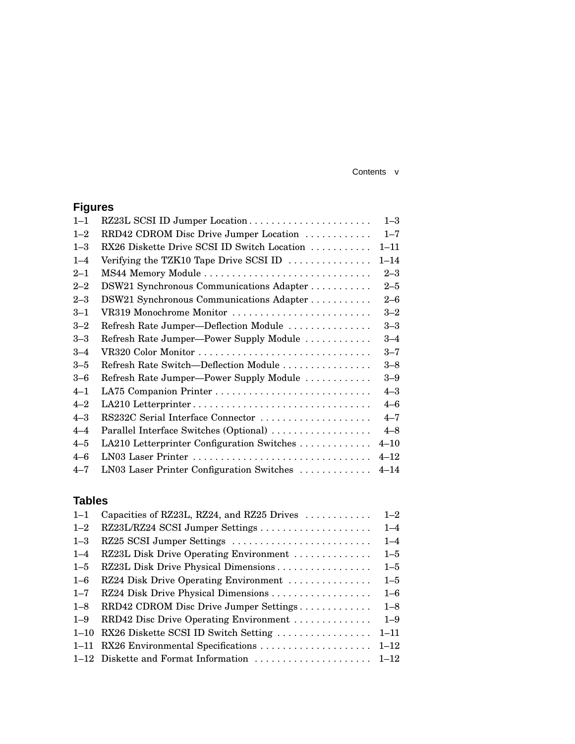#### Contents v

## **Figures**

| $1 - 1$ | RZ23L SCSI ID Jumper Location                   | $1 - 3$  |
|---------|-------------------------------------------------|----------|
| $1 - 2$ | RRD42 CDROM Disc Drive Jumper Location          | $1 - 7$  |
| $1 - 3$ | RX26 Diskette Drive SCSI ID Switch Location     | $1 - 11$ |
| $1 - 4$ | Verifying the TZK10 Tape Drive SCSI ID $\ldots$ | $1 - 14$ |
| $2 - 1$ |                                                 | $2 - 3$  |
| $2 - 2$ | DSW21 Synchronous Communications Adapter        | $2 - 5$  |
| $2 - 3$ | DSW21 Synchronous Communications Adapter        | $2 - 6$  |
| $3 - 1$ | VR319 Monochrome Monitor                        | $3 - 2$  |
| $3 - 2$ | Refresh Rate Jumper-Deflection Module           | $3 - 3$  |
| $3 - 3$ | Refresh Rate Jumper-Power Supply Module         | $3 - 4$  |
| $3 - 4$ | VR320 Color Monitor                             | $3 - 7$  |
| $3 - 5$ | Refresh Rate Switch-Deflection Module           | $3 - 8$  |
| $3 - 6$ | Refresh Rate Jumper-Power Supply Module         | $3 - 9$  |
| $4 - 1$ |                                                 | $4 - 3$  |
| $4 - 2$ | LA210 Letterprinter                             | $4 - 6$  |
| $4 - 3$ | RS232C Serial Interface Connector               | $4 - 7$  |
| $4 - 4$ | Parallel Interface Switches (Optional)          | $4 - 8$  |
| $4 - 5$ | LA210 Letterprinter Configuration Switches      | $4 - 10$ |
| $4 - 6$ | LN03 Laser Printer                              | $4 - 12$ |
| $4 - 7$ | LN03 Laser Printer Configuration Switches       | $4 - 14$ |

## **Tables**

| $1 - 1$  | Capacities of RZ23L, RZ24, and RZ25 Drives | $1 - 2$  |
|----------|--------------------------------------------|----------|
| $1 - 2$  |                                            | $1 - 4$  |
| $1 - 3$  | RZ25 SCSI Jumper Settings                  | $1 - 4$  |
| $1 - 4$  | RZ23L Disk Drive Operating Environment     | $1 - 5$  |
| $1 - 5$  | RZ23L Disk Drive Physical Dimensions       | $1 - 5$  |
| $1 - 6$  | RZ24 Disk Drive Operating Environment      | $1 - 5$  |
| $1 - 7$  | RZ24 Disk Drive Physical Dimensions        | $1 - 6$  |
| $1 - 8$  | RRD42 CDROM Disc Drive Jumper Settings     | $1 - 8$  |
| $1 - 9$  | RRD42 Disc Drive Operating Environment     | $1 - 9$  |
| $1 - 10$ | RX26 Diskette SCSI ID Switch Setting       | $1 - 11$ |
| $1 - 11$ | RX26 Environmental Specifications          | $1 - 12$ |
|          | 1–12 Diskette and Format Information       | $1 - 12$ |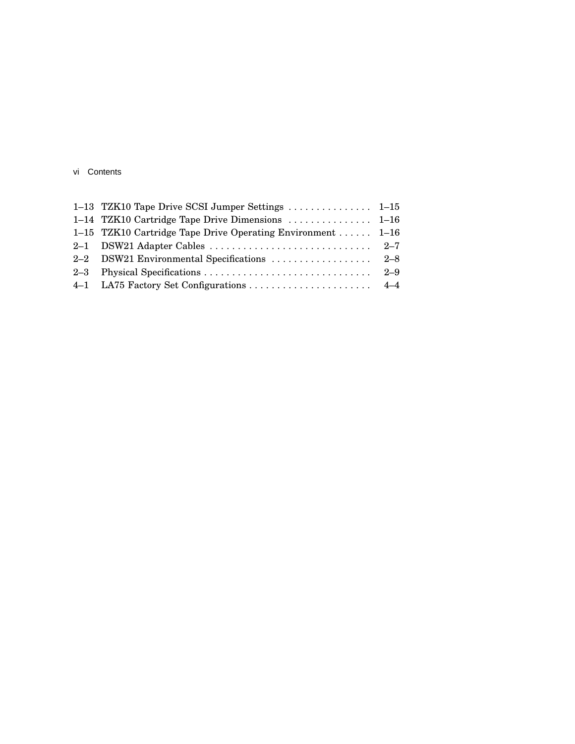|  | vi Contents |  |
|--|-------------|--|
|--|-------------|--|

| 1-15 TZK10 Cartridge Tape Drive Operating Environment  1-16 | 1-13 TZK10 Tape Drive SCSI Jumper Settings  1-15 |  |
|-------------------------------------------------------------|--------------------------------------------------|--|
|                                                             |                                                  |  |
|                                                             |                                                  |  |
|                                                             |                                                  |  |
|                                                             |                                                  |  |
|                                                             |                                                  |  |
|                                                             |                                                  |  |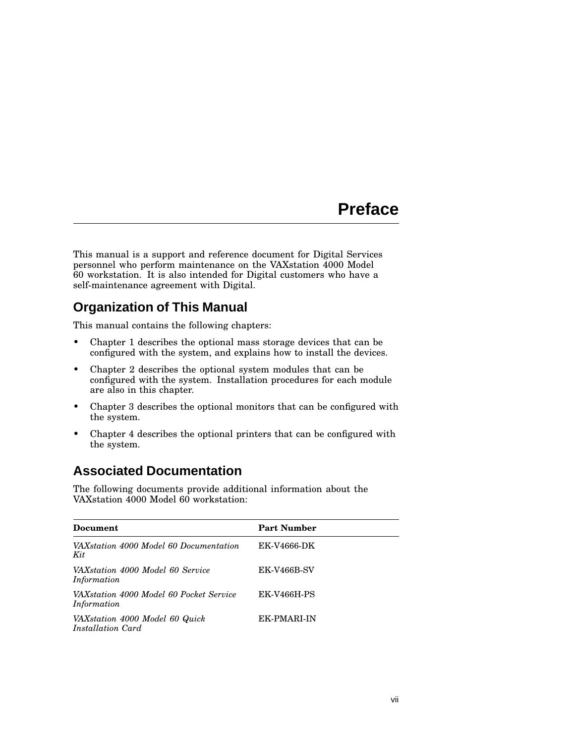## **Preface**

This manual is a support and reference document for Digital Services personnel who perform maintenance on the VAXstation 4000 Model 60 workstation. It is also intended for Digital customers who have a self-maintenance agreement with Digital.

## **Organization of This Manual**

This manual contains the following chapters:

- Chapter 1 describes the optional mass storage devices that can be configured with the system, and explains how to install the devices.
- Chapter 2 describes the optional system modules that can be configured with the system. Installation procedures for each module are also in this chapter.
- Chapter 3 describes the optional monitors that can be configured with the system.
- Chapter 4 describes the optional printers that can be configured with the system.

## **Associated Documentation**

The following documents provide additional information about the VAXstation 4000 Model 60 workstation:

| Document                                               | <b>Part Number</b> |
|--------------------------------------------------------|--------------------|
| VAXstation 4000 Model 60 Documentation<br>Kit          | EK-V4666-DK        |
| VAXstation 4000 Model 60 Service<br>Information        | <b>EK-V466B-SV</b> |
| VAXstation 4000 Model 60 Pocket Service<br>Information | <b>EK-V466H-PS</b> |
| VAXstation 4000 Model 60 Quick<br>Installation Card    | EK-PMARI-IN        |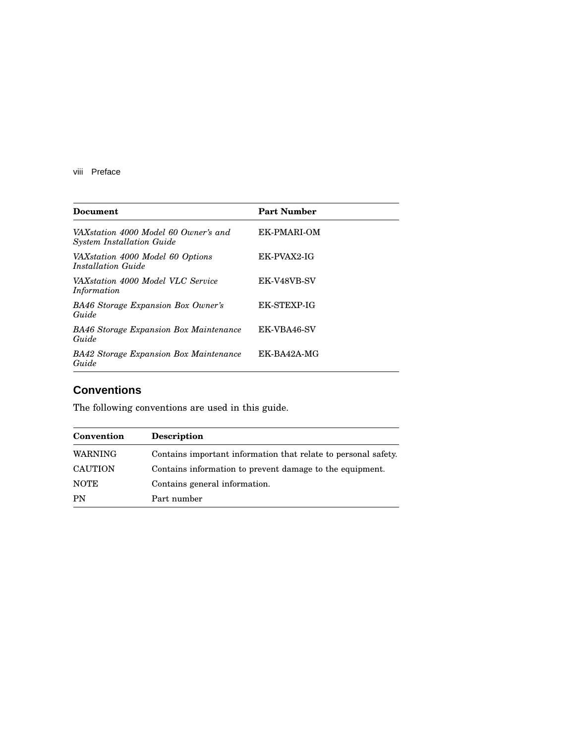viii Preface

| Document                                                                 | <b>Part Number</b> |
|--------------------------------------------------------------------------|--------------------|
| VAXstation 4000 Model 60 Owner's and<br><b>System Installation Guide</b> | EK-PMARI-OM        |
| VAXstation 4000 Model 60 Options<br>Installation Guide                   | EK-PVAX2-IG        |
| VAXstation 4000 Model VLC Service<br>Information                         | EK-V48VB-SV        |
| <b>BA46 Storage Expansion Box Owner's</b><br>Guide                       | EK-STEXP-IG        |
| <b>BA46 Storage Expansion Box Maintenance</b><br>Guide                   | EK-VBA46-SV        |
| <b>BA42 Storage Expansion Box Maintenance</b><br>Guide                   | EK-BA42A-MG        |

## **Conventions**

The following conventions are used in this guide.

| Convention     | Description                                                    |
|----------------|----------------------------------------------------------------|
| <b>WARNING</b> | Contains important information that relate to personal safety. |
| <b>CAUTION</b> | Contains information to prevent damage to the equipment.       |
| <b>NOTE</b>    | Contains general information.                                  |
| PN             | Part number                                                    |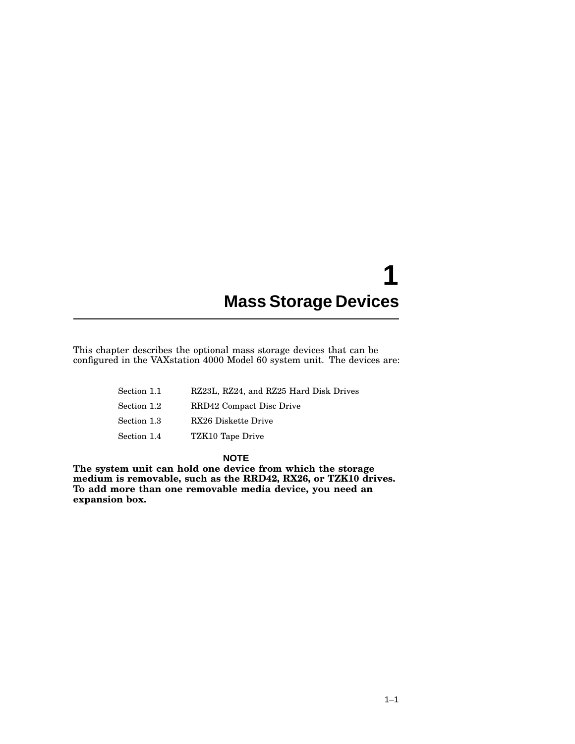## **1 Mass Storage Devices**

This chapter describes the optional mass storage devices that can be configured in the VAXstation 4000 Model 60 system unit. The devices are:

| Section 1.1 | RZ23L, RZ24, and RZ25 Hard Disk Drives |
|-------------|----------------------------------------|
| Section 1.2 | RRD42 Compact Disc Drive               |
| Section 1.3 | RX26 Diskette Drive                    |
| Section 1.4 | TZK10 Tape Drive                       |

**NOTE**

**The system unit can hold one device from which the storage medium is removable, such as the RRD42, RX26, or TZK10 drives. To add more than one removable media device, you need an expansion box.**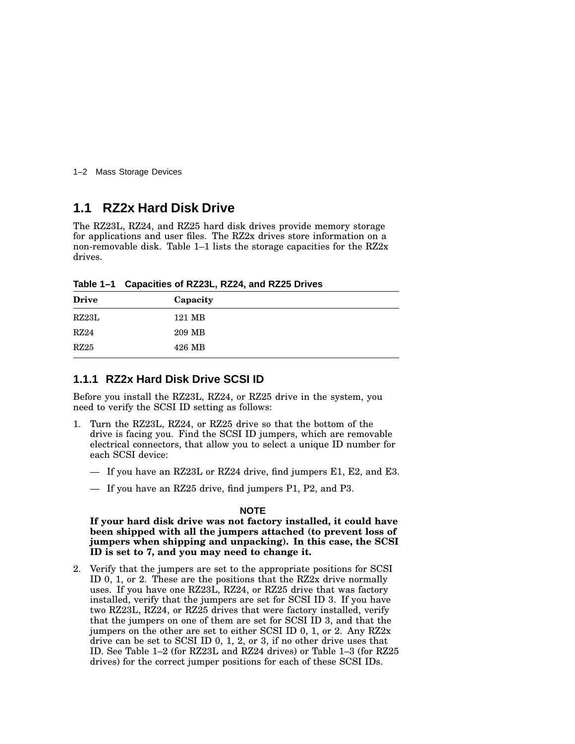1–2 Mass Storage Devices

## **1.1 RZ2x Hard Disk Drive**

The RZ23L, RZ24, and RZ25 hard disk drives provide memory storage for applications and user files. The RZ2x drives store information on a non-removable disk. Table 1–1 lists the storage capacities for the RZ2x drives.

**Table 1–1 Capacities of RZ23L, RZ24, and RZ25 Drives**

| Capacity |  |
|----------|--|
| 121 MB   |  |
| 209 MB   |  |
| 426 MB   |  |
|          |  |

#### **1.1.1 RZ2x Hard Disk Drive SCSI ID**

Before you install the RZ23L, RZ24, or RZ25 drive in the system, you need to verify the SCSI ID setting as follows:

- 1. Turn the RZ23L, RZ24, or RZ25 drive so that the bottom of the drive is facing you. Find the SCSI ID jumpers, which are removable electrical connectors, that allow you to select a unique ID number for each SCSI device:
	- If you have an RZ23L or RZ24 drive, find jumpers E1, E2, and E3.
	- If you have an RZ25 drive, find jumpers P1, P2, and P3.

#### **NOTE**

**If your hard disk drive was not factory installed, it could have been shipped with all the jumpers attached (to prevent loss of jumpers when shipping and unpacking). In this case, the SCSI ID is set to 7, and you may need to change it.**

2. Verify that the jumpers are set to the appropriate positions for SCSI ID 0, 1, or 2. These are the positions that the RZ2x drive normally uses. If you have one RZ23L, RZ24, or RZ25 drive that was factory installed, verify that the jumpers are set for SCSI ID 3. If you have two RZ23L, RZ24, or RZ25 drives that were factory installed, verify that the jumpers on one of them are set for SCSI ID 3, and that the jumpers on the other are set to either SCSI ID 0, 1, or 2. Any RZ2x drive can be set to SCSI ID 0, 1, 2, or 3, if no other drive uses that ID. See Table 1–2 (for RZ23L and RZ24 drives) or Table 1–3 (for RZ25 drives) for the correct jumper positions for each of these SCSI IDs.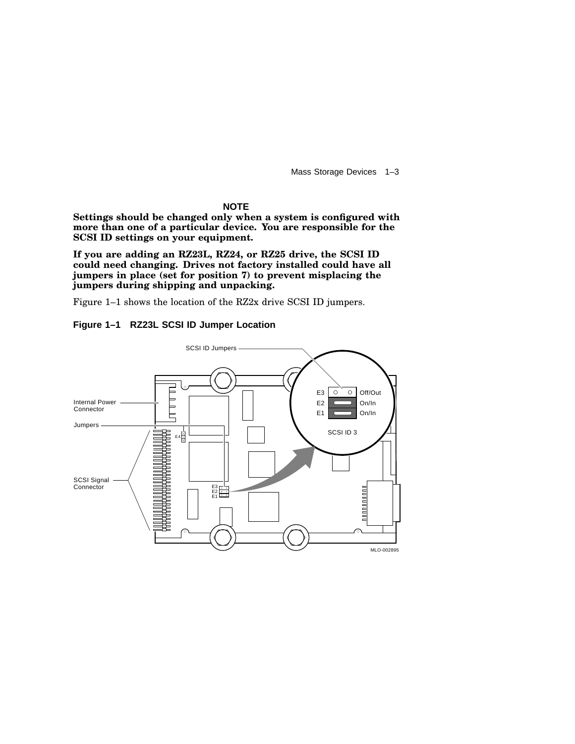Mass Storage Devices 1–3

**NOTE**

**Settings should be changed only when a system is configured with more than one of a particular device. You are responsible for the SCSI ID settings on your equipment.**

**If you are adding an RZ23L, RZ24, or RZ25 drive, the SCSI ID could need changing. Drives not factory installed could have all jumpers in place (set for position 7) to prevent misplacing the jumpers during shipping and unpacking.**

Figure 1–1 shows the location of the RZ2x drive SCSI ID jumpers.



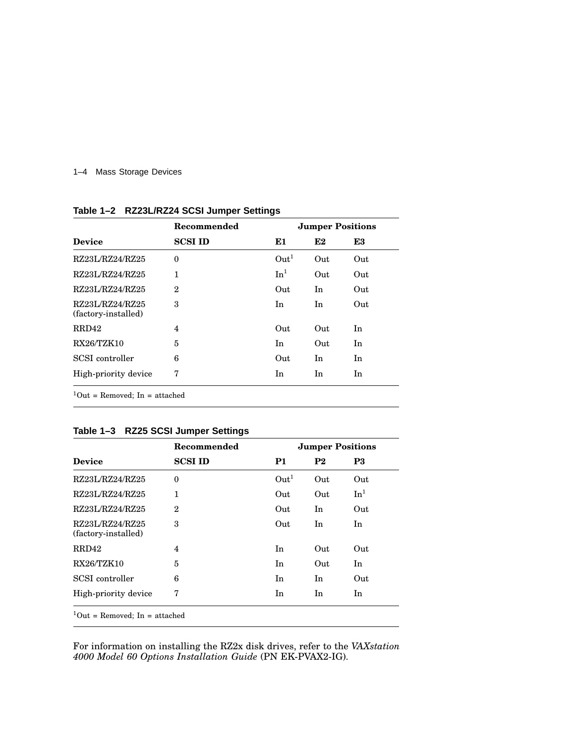#### 1–4 Mass Storage Devices

|                                        | Recommended    | <b>Jumper Positions</b> |     |     |
|----------------------------------------|----------------|-------------------------|-----|-----|
| <b>Device</b>                          | <b>SCSI ID</b> | E1                      | E2  | E3  |
| RZ23L/RZ24/RZ25                        | $\theta$       | Out <sup>1</sup>        | Out | Out |
| RZ23L/RZ24/RZ25                        | 1              | In <sup>1</sup>         | Out | Out |
| RZ23L/RZ24/RZ25                        | $\overline{2}$ | Out                     | In  | Out |
| RZ23L/RZ24/RZ25<br>(factory-installed) | 3              | In                      | In  | Out |
| RRD42                                  | 4              | Out                     | Out | In  |
| <b>RX26/TZK10</b>                      | 5              | In                      | Out | In  |
| SCSI controller                        | 6              | Out                     | In  | In  |
| High-priority device                   | 7              | In                      | In  | In  |

**Table 1–2 RZ23L/RZ24 SCSI Jumper Settings**

## **Table 1–3 RZ25 SCSI Jumper Settings**

|                                        | Recommended    |                  | <b>Jumper Positions</b> |                 |
|----------------------------------------|----------------|------------------|-------------------------|-----------------|
| <b>Device</b>                          | <b>SCSI ID</b> | P1               | P <sub>2</sub>          | P3              |
| RZ23L/RZ24/RZ25                        | $\Omega$       | Out <sup>1</sup> | Out                     | Out             |
| RZ23L/RZ24/RZ25                        | $\mathbf{1}$   | Out              | Out                     | In <sup>1</sup> |
| RZ23L/RZ24/RZ25                        | $\mathbf{2}$   | Out              | In                      | Out             |
| RZ23L/RZ24/RZ25<br>(factory-installed) | 3              | Out              | In                      | In              |
| RRD42                                  | 4              | In.              | Out                     | Out             |
| <b>RX26/TZK10</b>                      | 5              | In.              | Out                     | In              |
| SCSI controller                        | 6              | In               | In                      | Out             |
| High-priority device                   | 7              | In               | In                      | In              |

For information on installing the RZ2x disk drives, refer to the *VAXstation 4000 Model 60 Options Installation Guide* (PN EK-PVAX2-IG).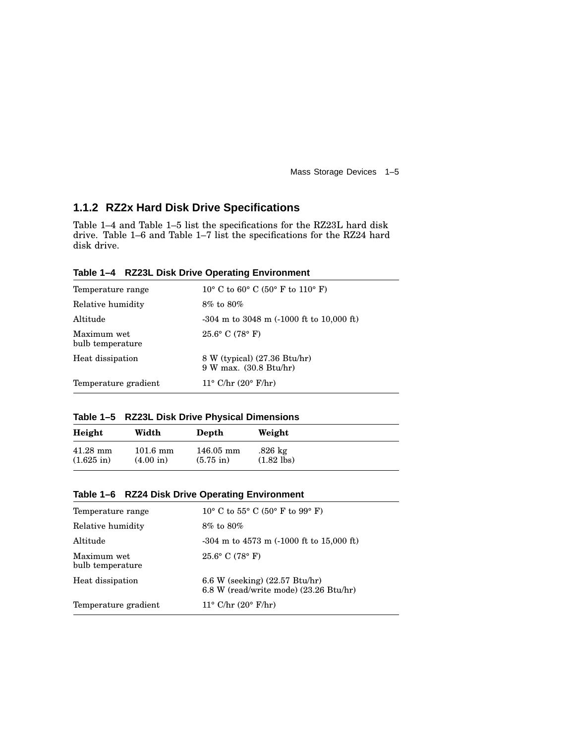Mass Storage Devices 1–5

## **1.1.2 RZ2x Hard Disk Drive Specifications**

Table 1–4 and Table 1–5 list the specifications for the RZ23L hard disk drive. Table 1–6 and Table 1–7 list the specifications for the RZ24 hard disk drive.

**Table 1–4 RZ23L Disk Drive Operating Environment**

| Temperature range               | 10° C to 60° C (50° F to 110° F)                       |
|---------------------------------|--------------------------------------------------------|
| Relative humidity               | $8\%$ to $80\%$                                        |
| Altitude                        | $-304$ m to $3048$ m $(-1000$ ft to $10,000$ ft)       |
| Maximum wet<br>bulb temperature | $25.6^{\circ}$ C (78 $^{\circ}$ F)                     |
| Heat dissipation                | 8 W (typical) (27.36 Btu/hr)<br>9 W max. (30.8 Btu/hr) |
| Temperature gradient            | $11^{\circ}$ C/hr $(20^{\circ}$ F/hr)                  |

|  |  |  |  | Table 1-5 RZ23L Disk Drive Physical Dimensions |
|--|--|--|--|------------------------------------------------|
|--|--|--|--|------------------------------------------------|

| Height               | Width               | Depth                   | Weight            |
|----------------------|---------------------|-------------------------|-------------------|
| $41.28$ mm           | $101.6 \text{ mm}$  | $146.05 \; \mathrm{mm}$ | $.826 \text{ kg}$ |
| $(1.625 \text{ in})$ | $(4.00 \text{ in})$ | $(5.75 \text{ in})$     | $(1.82$ lbs)      |

#### **Table 1–6 RZ24 Disk Drive Operating Environment**

| Temperature range               | $10^{\circ}$ C to $55^{\circ}$ C $(50^{\circ}$ F to $99^{\circ}$ F)                |
|---------------------------------|------------------------------------------------------------------------------------|
| Relative humidity               | $8\%$ to $80\%$                                                                    |
| Altitude                        | $-304$ m to $4573$ m $(-1000$ ft to $15,000$ ft)                                   |
| Maximum wet<br>bulb temperature | $25.6^{\circ}$ C (78 $^{\circ}$ F)                                                 |
| Heat dissipation                | 6.6 W (seeking) $(22.57 \text{ Btu/hr})$<br>6.8 W (read/write mode) (23.26 Btu/hr) |
| Temperature gradient            | $11^{\circ}$ C/hr $(20^{\circ}$ F/hr)                                              |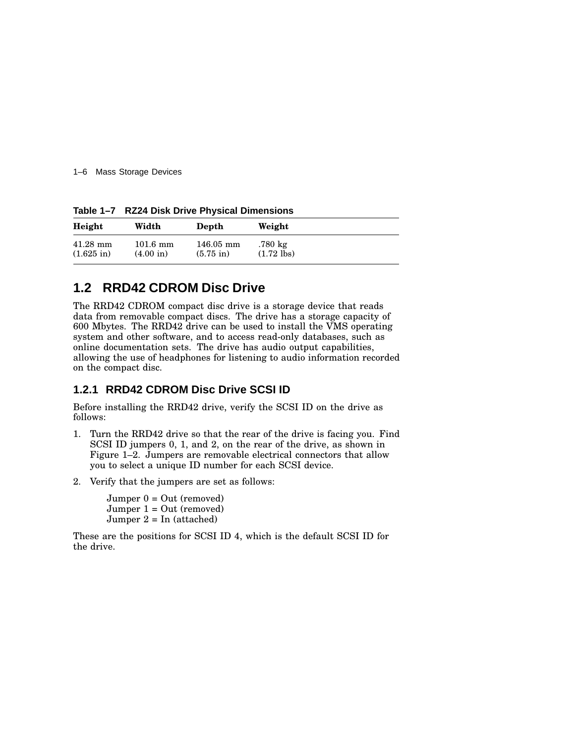1–6 Mass Storage Devices

**Table 1–7 RZ24 Disk Drive Physical Dimensions**

| Height               | Width               | Depth                   | Weight               |  |
|----------------------|---------------------|-------------------------|----------------------|--|
| $41.28$ mm           | $101.6 \text{ mm}$  | $146.05 \; \mathrm{mm}$ | .780 kg              |  |
| $(1.625 \text{ in})$ | $(4.00 \text{ in})$ | $(5.75 \text{ in})$     | $(1.72 \text{ lbs})$ |  |

## **1.2 RRD42 CDROM Disc Drive**

The RRD42 CDROM compact disc drive is a storage device that reads data from removable compact discs. The drive has a storage capacity of 600 Mbytes. The RRD42 drive can be used to install the VMS operating system and other software, and to access read-only databases, such as online documentation sets. The drive has audio output capabilities, allowing the use of headphones for listening to audio information recorded on the compact disc.

## **1.2.1 RRD42 CDROM Disc Drive SCSI ID**

Before installing the RRD42 drive, verify the SCSI ID on the drive as follows:

- 1. Turn the RRD42 drive so that the rear of the drive is facing you. Find SCSI ID jumpers 0, 1, and 2, on the rear of the drive, as shown in Figure 1–2. Jumpers are removable electrical connectors that allow you to select a unique ID number for each SCSI device.
- 2. Verify that the jumpers are set as follows:

 $Jumper 0 = Out (removed)$ Jumper 1 = Out (removed) Jumper  $2 = \text{In (attached)}$ 

These are the positions for SCSI ID 4, which is the default SCSI ID for the drive.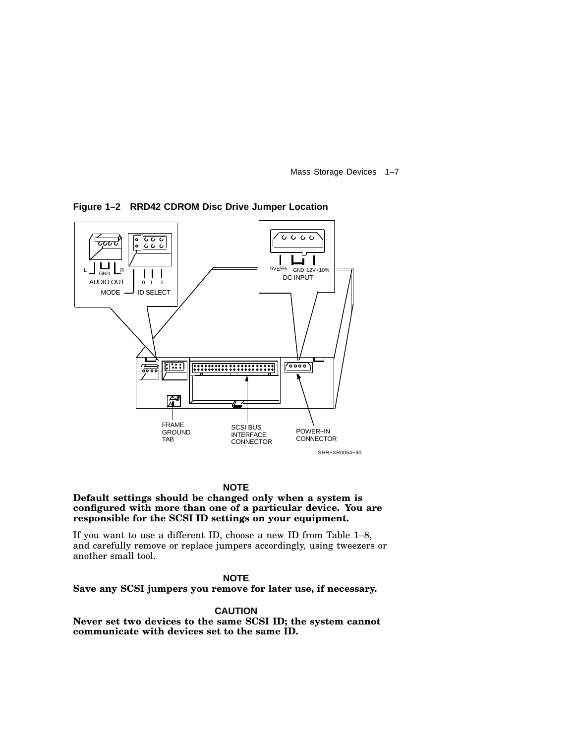Mass Storage Devices 1–7



**Figure 1–2 RRD42 CDROM Disc Drive Jumper Location**

#### **NOTE**

#### **Default settings should be changed only when a system is configured with more than one of a particular device. You are responsible for the SCSI ID settings on your equipment.**

If you want to use a different ID, choose a new ID from Table 1–8, and carefully remove or replace jumpers accordingly, using tweezers or another small tool.

#### **NOTE**

**Save any SCSI jumpers you remove for later use, if necessary.**

#### **CAUTION**

**Never set two devices to the same SCSI ID; the system cannot communicate with devices set to the same ID.**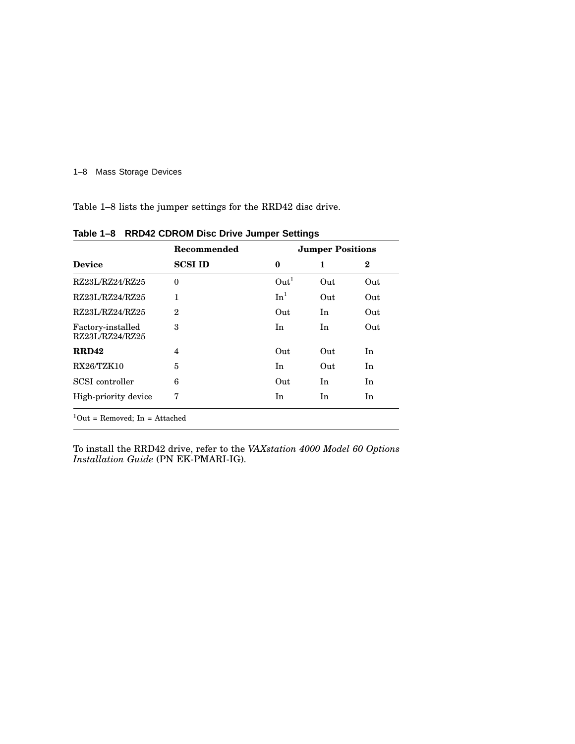#### 1–8 Mass Storage Devices

Table 1–8 lists the jumper settings for the RRD42 disc drive.

|                                      | Recommended    | <b>Jumper Positions</b> |     |     |
|--------------------------------------|----------------|-------------------------|-----|-----|
| <b>Device</b>                        | <b>SCSI ID</b> | $\bf{0}$                | 1   | 2   |
| RZ23L/RZ24/RZ25                      | $\theta$       | Out <sup>1</sup>        | Out | Out |
| RZ23L/RZ24/RZ25                      | $\mathbf{1}$   | In <sup>1</sup>         | Out | Out |
| RZ23L/RZ24/RZ25                      | $\mathbf{2}$   | Out                     | In  | Out |
| Factory-installed<br>RZ23L/RZ24/RZ25 | 3              | In                      | In  | Out |
| <b>RRD42</b>                         | 4              | Out                     | Out | In  |
| <b>RX26/TZK10</b>                    | 5              | In                      | Out | In  |
| SCSI controller                      | 6              | Out                     | In  | In  |
| High-priority device                 | 7              | In                      | In  | In  |

**Table 1–8 RRD42 CDROM Disc Drive Jumper Settings**

To install the RRD42 drive, refer to the *VAXstation 4000 Model 60 Options Installation Guide* (PN EK-PMARI-IG).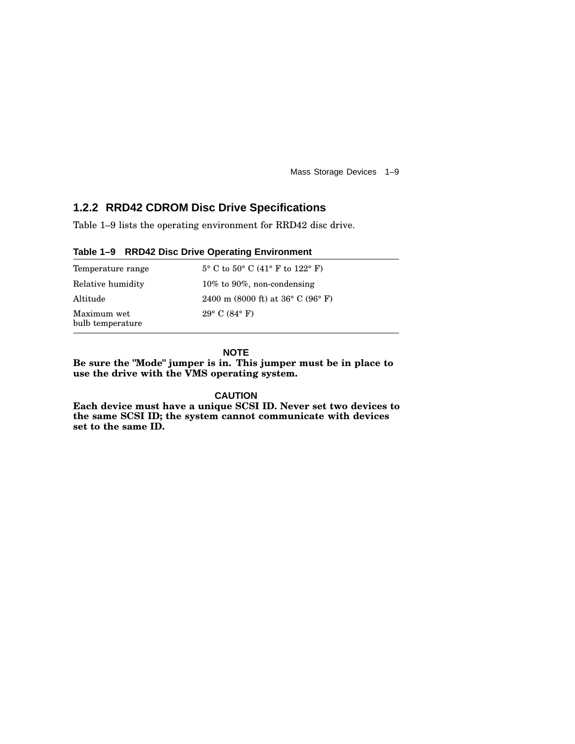Mass Storage Devices 1–9

## **1.2.2 RRD42 CDROM Disc Drive Specifications**

Table 1–9 lists the operating environment for RRD42 disc drive.

|--|

| Temperature range               | $5^{\circ}$ C to $50^{\circ}$ C (41° F to 122° F)    |
|---------------------------------|------------------------------------------------------|
| Relative humidity               | 10% to 90%, non-condensing                           |
| Altitude                        | 2400 m (8000 ft) at $36^{\circ}$ C (96 $^{\circ}$ F) |
| Maximum wet<br>bulb temperature | $29^{\circ}$ C (84 $^{\circ}$ F)                     |

**NOTE**

**Be sure the "Mode" jumper is in. This jumper must be in place to use the drive with the VMS operating system.**

**CAUTION**

**Each device must have a unique SCSI ID. Never set two devices to the same SCSI ID; the system cannot communicate with devices set to the same ID.**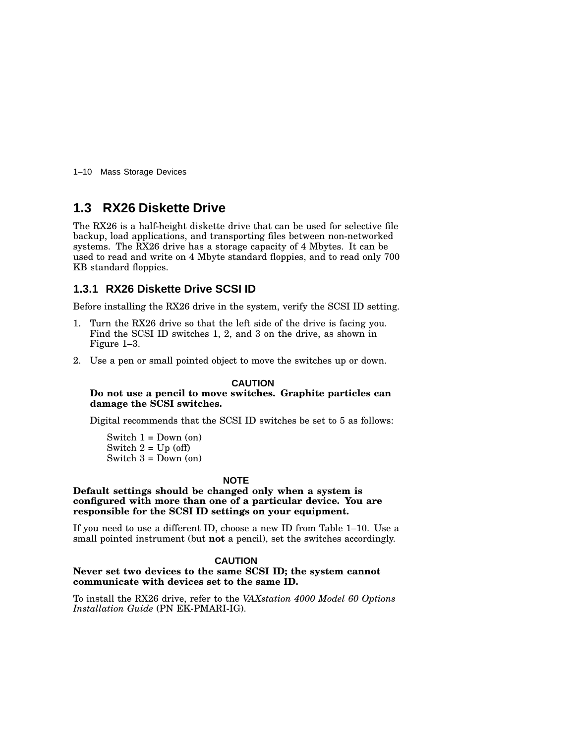1–10 Mass Storage Devices

## **1.3 RX26 Diskette Drive**

The RX26 is a half-height diskette drive that can be used for selective file backup, load applications, and transporting files between non-networked systems. The RX26 drive has a storage capacity of 4 Mbytes. It can be used to read and write on 4 Mbyte standard floppies, and to read only 700 KB standard floppies.

## **1.3.1 RX26 Diskette Drive SCSI ID**

Before installing the RX26 drive in the system, verify the SCSI ID setting.

- 1. Turn the RX26 drive so that the left side of the drive is facing you. Find the SCSI ID switches 1, 2, and 3 on the drive, as shown in Figure 1–3.
- 2. Use a pen or small pointed object to move the switches up or down.

#### **CAUTION**

#### **Do not use a pencil to move switches. Graphite particles can damage the SCSI switches.**

Digital recommends that the SCSI ID switches be set to 5 as follows:

Switch  $1 =$  Down (on) Switch  $2 = Up(off)$ Switch  $3 =$  Down (on)

#### **NOTE**

#### **Default settings should be changed only when a system is configured with more than one of a particular device. You are responsible for the SCSI ID settings on your equipment.**

If you need to use a different ID, choose a new ID from Table 1–10. Use a small pointed instrument (but **not** a pencil), set the switches accordingly.

#### **CAUTION**

#### **Never set two devices to the same SCSI ID; the system cannot communicate with devices set to the same ID.**

To install the RX26 drive, refer to the *VAXstation 4000 Model 60 Options Installation Guide* (PN EK-PMARI-IG).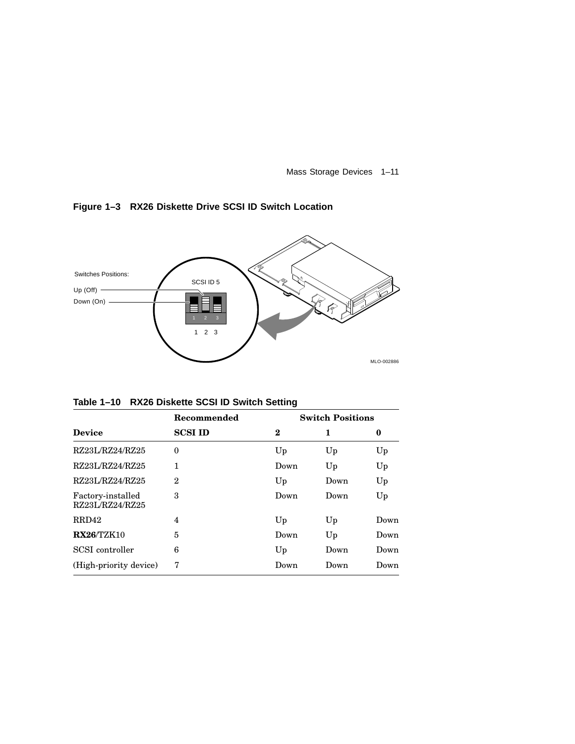Mass Storage Devices 1–11

### **Figure 1–3 RX26 Diskette Drive SCSI ID Switch Location**



**Table 1–10 RX26 Diskette SCSI ID Switch Setting**

| Recommended    | <b>Switch Positions</b> |      |      |  |
|----------------|-------------------------|------|------|--|
| <b>SCSI ID</b> | $\bf{2}$                | 1    | 0    |  |
| $\theta$       | Up                      | Up   | Up   |  |
| 1              | Down                    | Up   | Up   |  |
| 2              | Up                      | Down | Up   |  |
| 3              | Down                    | Down | Up   |  |
| 4              | Up                      | Up   | Down |  |
| 5              | Down                    | Up   | Down |  |
| 6              | Up                      | Down | Down |  |
| 7              | Down                    | Down | Down |  |
|                |                         |      |      |  |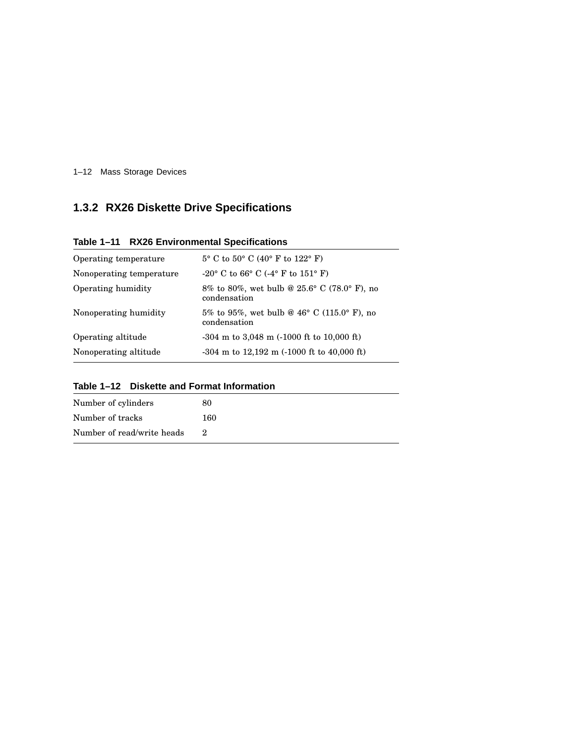1–12 Mass Storage Devices

## **1.3.2 RX26 Diskette Drive Specifications**

|  | Table 1-11 RX26 Environmental Specifications |  |
|--|----------------------------------------------|--|
|--|----------------------------------------------|--|

| Operating temperature    | $5^{\circ}$ C to $50^{\circ}$ C (40° F to 122° F)           |
|--------------------------|-------------------------------------------------------------|
| Nonoperating temperature | $-20^{\circ}$ C to 66° C (-4° F to 151° F)                  |
| Operating humidity       | 8% to 80%, wet bulb @ 25.6° C (78.0° F), no<br>condensation |
| Nonoperating humidity    | 5% to 95%, wet bulb @ 46° C (115.0° F), no<br>condensation  |
| Operating altitude       | $-304$ m to 3,048 m $(-1000$ ft to 10,000 ft)               |
| Nonoperating altitude    | $-304$ m to 12,192 m $(-1000$ ft to 40,000 ft)              |

| Table 1–12 Diskette and Format Information |
|--------------------------------------------|
|--------------------------------------------|

| Number of cylinders        | 80  |
|----------------------------|-----|
| Number of tracks           | 160 |
| Number of read/write heads |     |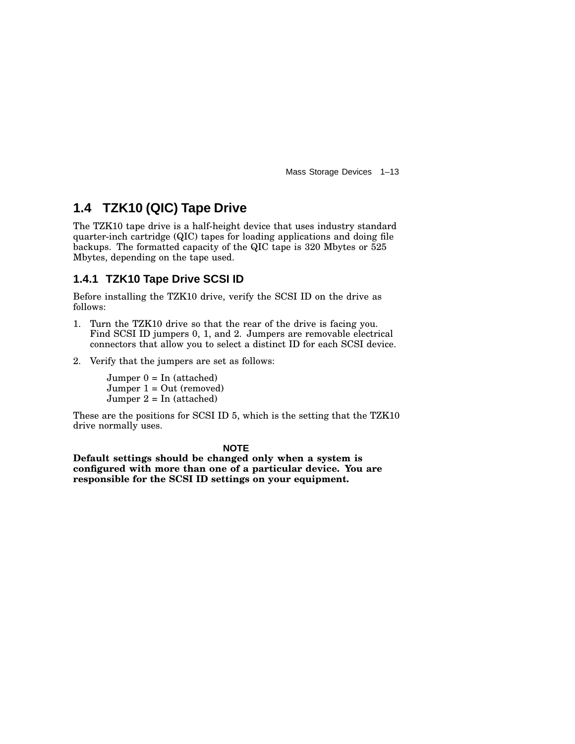Mass Storage Devices 1–13

## **1.4 TZK10 (QIC) Tape Drive**

The TZK10 tape drive is a half-height device that uses industry standard quarter-inch cartridge (QIC) tapes for loading applications and doing file backups. The formatted capacity of the QIC tape is 320 Mbytes or 525 Mbytes, depending on the tape used.

## **1.4.1 TZK10 Tape Drive SCSI ID**

Before installing the TZK10 drive, verify the SCSI ID on the drive as follows:

- 1. Turn the TZK10 drive so that the rear of the drive is facing you. Find SCSI ID jumpers 0, 1, and 2. Jumpers are removable electrical connectors that allow you to select a distinct ID for each SCSI device.
- 2. Verify that the jumpers are set as follows:

 $Jumper 0 = In (attached)$ Jumper 1 = Out (removed) Jumper  $2 = \text{In (attached)}$ 

These are the positions for SCSI ID 5, which is the setting that the TZK10 drive normally uses.

#### **NOTE**

**Default settings should be changed only when a system is configured with more than one of a particular device. You are responsible for the SCSI ID settings on your equipment.**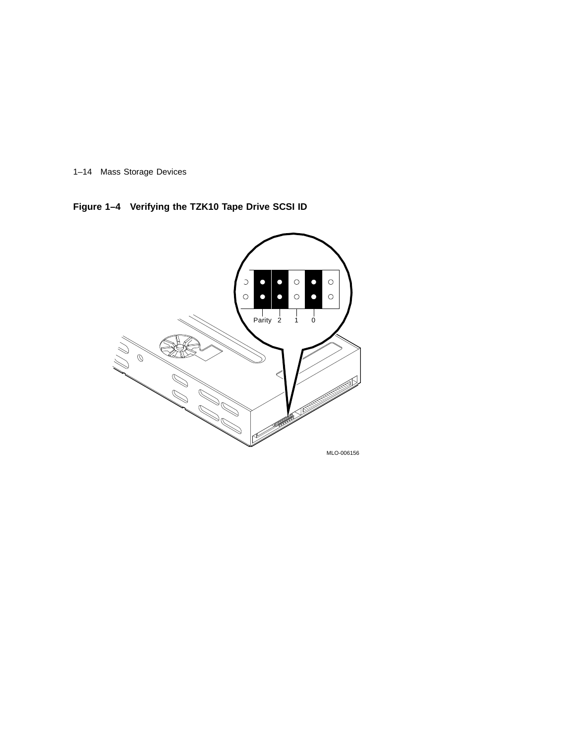1–14 Mass Storage Devices

**Figure 1–4 Verifying the TZK10 Tape Drive SCSI ID**

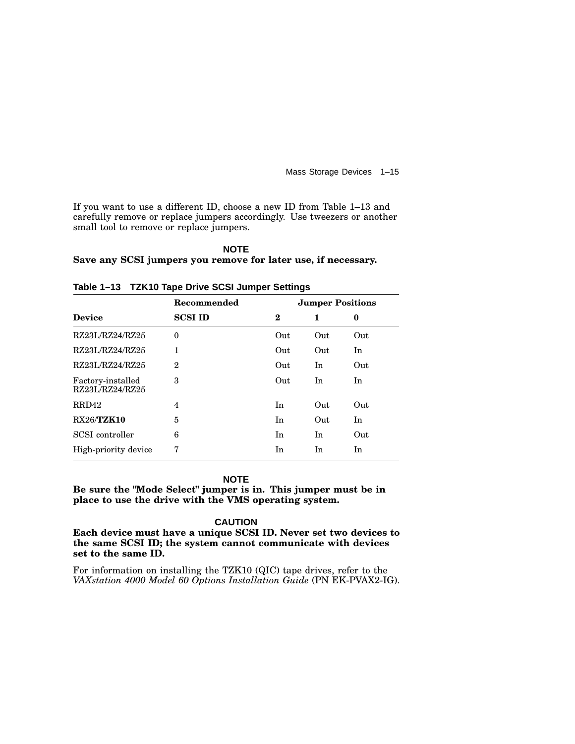Mass Storage Devices 1–15

If you want to use a different ID, choose a new ID from Table 1–13 and carefully remove or replace jumpers accordingly. Use tweezers or another small tool to remove or replace jumpers.

#### **NOTE Save any SCSI jumpers you remove for later use, if necessary.**

|                                      | Recommended    | <b>Jumper Positions</b> |     |     |
|--------------------------------------|----------------|-------------------------|-----|-----|
| <b>Device</b>                        | <b>SCSI ID</b> | $\bf{2}$                | 1   | 0   |
| RZ23L/RZ24/RZ25                      | $\theta$       | Out                     | Out | Out |
| RZ23L/RZ24/RZ25                      | 1              | Out                     | Out | In  |
| RZ23L/RZ24/RZ25                      | $\mathbf{2}$   | Out                     | In  | Out |
| Factory-installed<br>RZ23L/RZ24/RZ25 | 3              | Out                     | In  | In  |
| RRD42                                | 4              | In                      | Out | Out |
| <b>RX26/TZK10</b>                    | 5              | In                      | Out | In  |
| SCSI controller                      | 6              | In                      | In  | Out |
| High-priority device                 | 7              | In                      | In  | In  |
|                                      |                |                         |     |     |

**Table 1–13 TZK10 Tape Drive SCSI Jumper Settings**

#### **NOTE**

**Be sure the "Mode Select" jumper is in. This jumper must be in place to use the drive with the VMS operating system.**

#### **CAUTION**

**Each device must have a unique SCSI ID. Never set two devices to the same SCSI ID; the system cannot communicate with devices set to the same ID.**

For information on installing the TZK10 (QIC) tape drives, refer to the *VAXstation 4000 Model 60 Options Installation Guide* (PN EK-PVAX2-IG).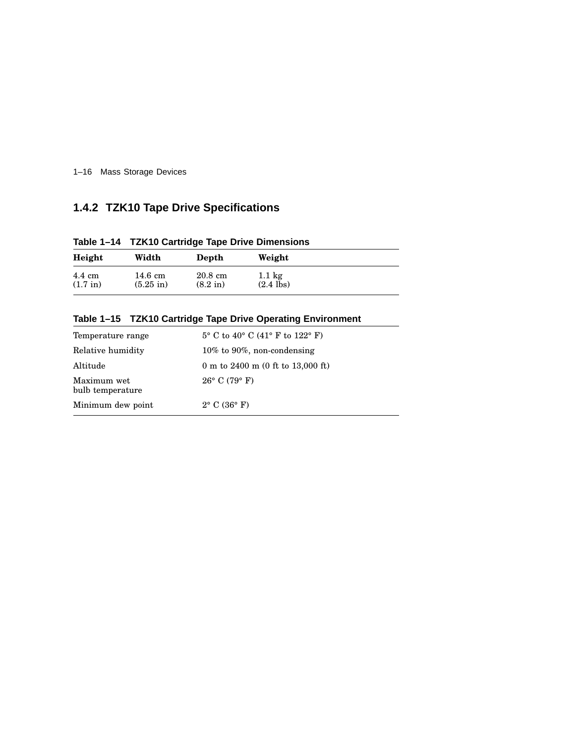1–16 Mass Storage Devices

## **1.4.2 TZK10 Tape Drive Specifications**

**Table 1–14 TZK10 Cartridge Tape Drive Dimensions**

| Height             | Width               | Depth              | Weight           |
|--------------------|---------------------|--------------------|------------------|
| $4.4 \text{ cm}$   | 14.6 cm             | $20.8 \text{ cm}$  | $1.1 \text{ kg}$ |
| $(1.7 \text{ in})$ | $(5.25 \text{ in})$ | $(8.2 \text{ in})$ | $(2.4$ lbs)      |

| Temperature range               | $5^{\circ}$ C to 40° C (41° F to 122° F) |
|---------------------------------|------------------------------------------|
| Relative humidity               | 10% to 90%, non-condensing               |
| Altitude                        | 0 m to 2400 m (0 ft to 13,000 ft)        |
| Maximum wet<br>bulb temperature | $26^{\circ}$ C (79 $^{\circ}$ F)         |
| Minimum dew point               | $2^{\circ}$ C (36 $^{\circ}$ F)          |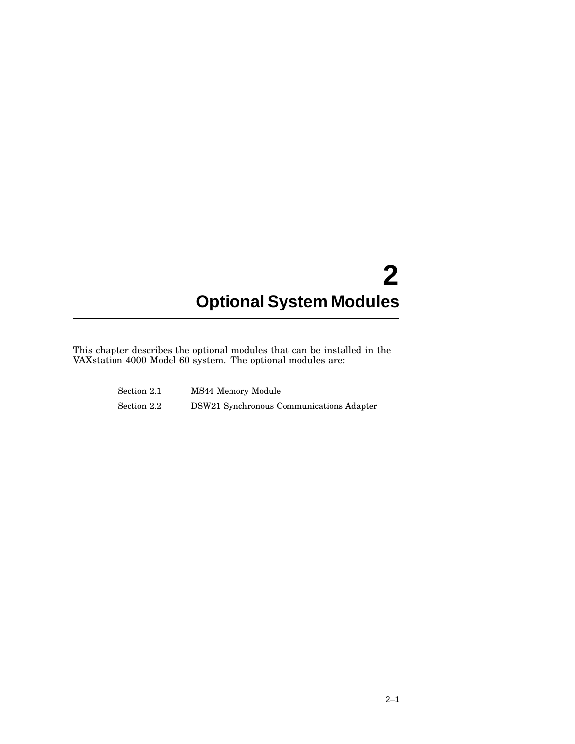# **2 Optional System Modules**

This chapter describes the optional modules that can be installed in the VAXstation 4000 Model 60 system. The optional modules are:

| Section 2.1 | MS44 Memory Module                       |
|-------------|------------------------------------------|
| Section 2.2 | DSW21 Synchronous Communications Adapter |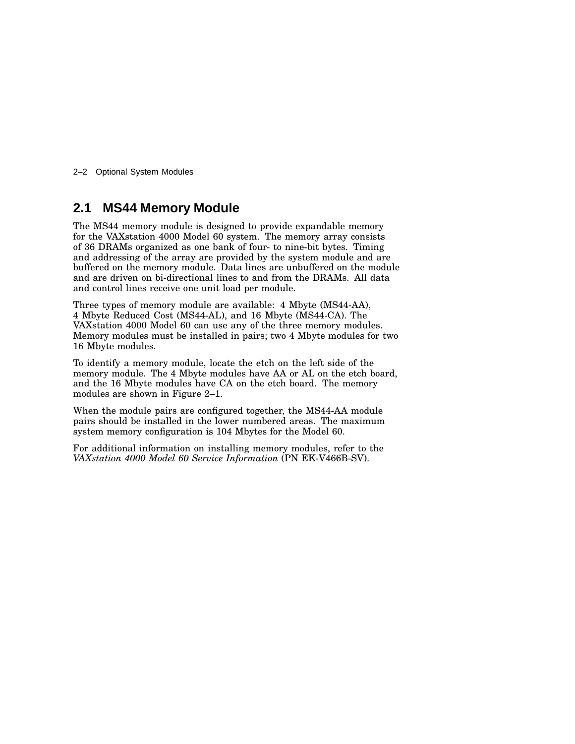2–2 Optional System Modules

## **2.1 MS44 Memory Module**

The MS44 memory module is designed to provide expandable memory for the VAXstation 4000 Model 60 system. The memory array consists of 36 DRAMs organized as one bank of four- to nine-bit bytes. Timing and addressing of the array are provided by the system module and are buffered on the memory module. Data lines are unbuffered on the module and are driven on bi-directional lines to and from the DRAMs. All data and control lines receive one unit load per module.

Three types of memory module are available: 4 Mbyte (MS44-AA), 4 Mbyte Reduced Cost (MS44-AL), and 16 Mbyte (MS44-CA). The VAXstation 4000 Model 60 can use any of the three memory modules. Memory modules must be installed in pairs; two 4 Mbyte modules for two 16 Mbyte modules.

To identify a memory module, locate the etch on the left side of the memory module. The 4 Mbyte modules have AA or AL on the etch board, and the 16 Mbyte modules have CA on the etch board. The memory modules are shown in Figure 2–1.

When the module pairs are configured together, the MS44-AA module pairs should be installed in the lower numbered areas. The maximum system memory configuration is 104 Mbytes for the Model 60.

For additional information on installing memory modules, refer to the *VAXstation 4000 Model 60 Service Information* (PN EK-V466B-SV).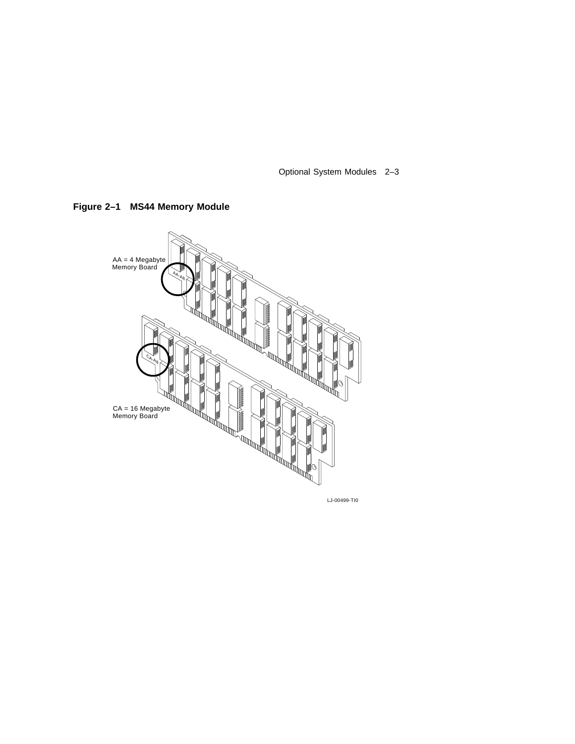Optional System Modules 2–3





LJ-00499-TI0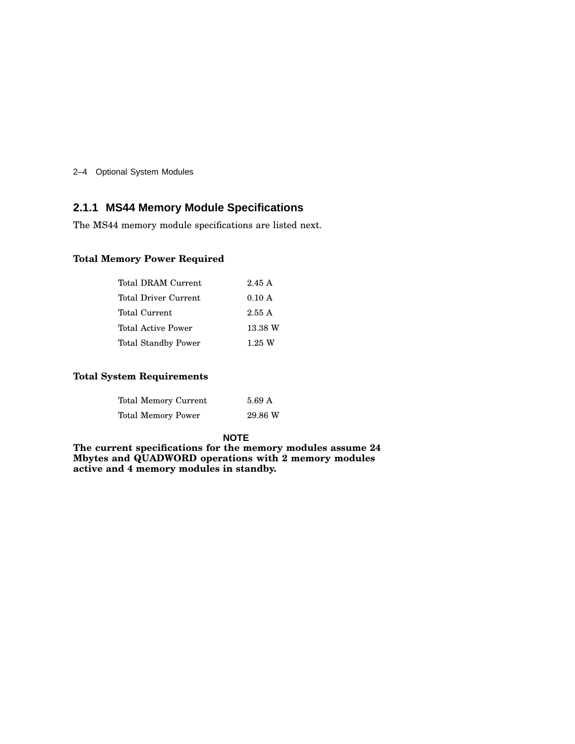2–4 Optional System Modules

## **2.1.1 MS44 Memory Module Specifications**

The MS44 memory module specifications are listed next.

#### **Total Memory Power Required**

| Total DRAM Current         | 2.45A    |
|----------------------------|----------|
| Total Driver Current       | 0.10 A   |
| Total Current              | 2.55A    |
| Total Active Power         | 13.38 W  |
| <b>Total Standby Power</b> | $1.25$ W |

#### **Total System Requirements**

| Total Memory Current | 5.69 A  |
|----------------------|---------|
| Total Memory Power   | 29.86 W |

#### **NOTE**

**The current specifications for the memory modules assume 24 Mbytes and QUADWORD operations with 2 memory modules active and 4 memory modules in standby.**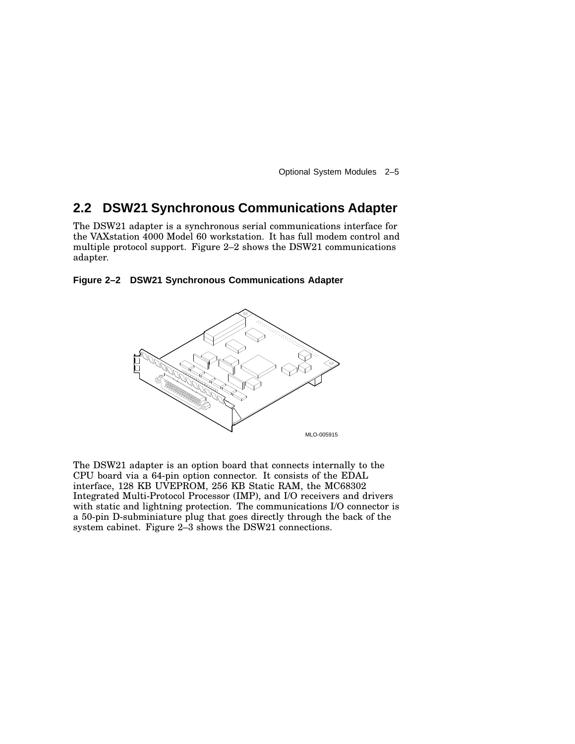Optional System Modules 2–5

## **2.2 DSW21 Synchronous Communications Adapter**

The DSW21 adapter is a synchronous serial communications interface for the VAXstation 4000 Model 60 workstation. It has full modem control and multiple protocol support. Figure 2–2 shows the DSW21 communications adapter.

#### **Figure 2–2 DSW21 Synchronous Communications Adapter**



The DSW21 adapter is an option board that connects internally to the CPU board via a 64-pin option connector. It consists of the EDAL interface, 128 KB UVEPROM, 256 KB Static RAM, the MC68302 Integrated Multi-Protocol Processor (IMP), and I/O receivers and drivers with static and lightning protection. The communications I/O connector is a 50-pin D-subminiature plug that goes directly through the back of the system cabinet. Figure 2–3 shows the DSW21 connections.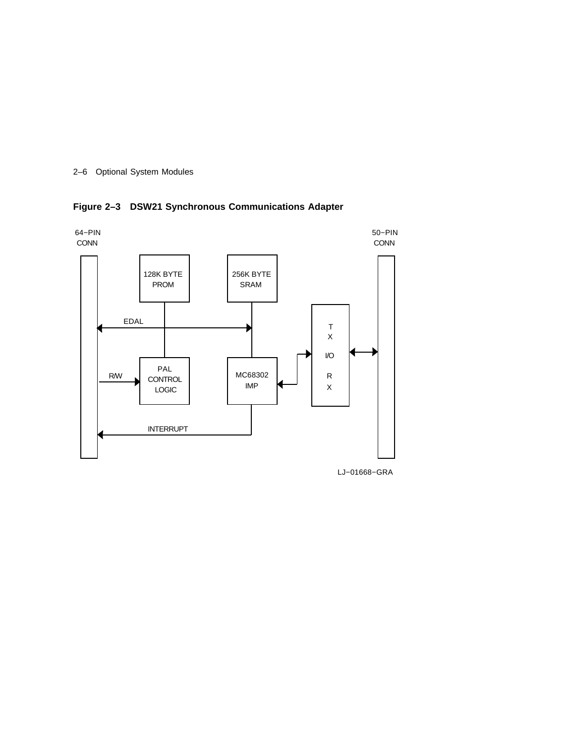

**Figure 2–3 DSW21 Synchronous Communications Adapter**



LJ−01668−GRA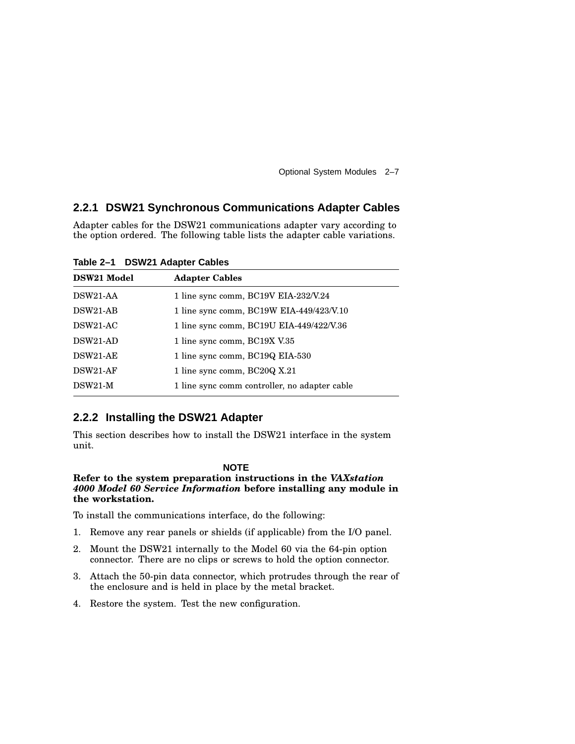Optional System Modules 2–7

## **2.2.1 DSW21 Synchronous Communications Adapter Cables**

Adapter cables for the DSW21 communications adapter vary according to the option ordered. The following table lists the adapter cable variations.

**Table 2–1 DSW21 Adapter Cables**

| 1 line sync comm, BC19V EIA-232/V.24          |
|-----------------------------------------------|
| 1 line sync comm, BC19W EIA-449/423/V.10      |
| 1 line sync comm, BC19U EIA-449/422/V.36      |
| 1 line sync comm, BC19X V.35                  |
| 1 line sync comm, BC19Q EIA-530               |
| 1 line sync comm, BC20Q X.21                  |
| 1 line sync comm controller, no adapter cable |
|                                               |

## **2.2.2 Installing the DSW21 Adapter**

This section describes how to install the DSW21 interface in the system unit.

#### **NOTE**

#### **Refer to the system preparation instructions in the** *VAXstation 4000 Model 60 Service Information* **before installing any module in the workstation.**

To install the communications interface, do the following:

- 1. Remove any rear panels or shields (if applicable) from the I/O panel.
- 2. Mount the DSW21 internally to the Model 60 via the 64-pin option connector. There are no clips or screws to hold the option connector.
- 3. Attach the 50-pin data connector, which protrudes through the rear of the enclosure and is held in place by the metal bracket.
- 4. Restore the system. Test the new configuration.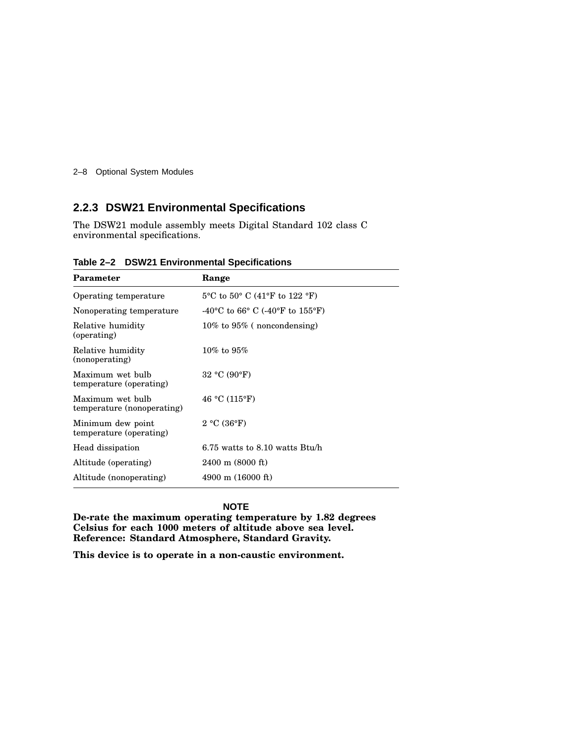2–8 Optional System Modules

## **2.2.3 DSW21 Environmental Specifications**

The DSW21 module assembly meets Digital Standard 102 class C environmental specifications.

| Parameter                                      | Range                                                                 |
|------------------------------------------------|-----------------------------------------------------------------------|
| Operating temperature                          | $5^{\circ}$ C to $50^{\circ}$ C (41 $^{\circ}$ F to 122 $^{\circ}$ F) |
| Nonoperating temperature                       | -40°C to 66°C (-40°F to 155°F)                                        |
| Relative humidity<br>(operating)               | $10\%$ to $95\%$ (noncondensing)                                      |
| Relative humidity<br>(nonoperating)            | $10\%$ to $95\%$                                                      |
| Maximum wet bulb<br>temperature (operating)    | 32 °C (90 °F)                                                         |
| Maximum wet bulb<br>temperature (nonoperating) | 46 °C (115°F)                                                         |
| Minimum dew point<br>temperature (operating)   | 2 °C (36 °F)                                                          |
| Head dissipation                               | $6.75$ watts to $8.10$ watts Btu/h                                    |
| Altitude (operating)                           | $2400 \text{ m}$ (8000 ft)                                            |
| Altitude (nonoperating)                        | $4900 \text{ m}$ (16000 ft)                                           |

**Table 2–2 DSW21 Environmental Specifications**

#### **NOTE**

**De-rate the maximum operating temperature by 1.82 degrees Celsius for each 1000 meters of altitude above sea level. Reference: Standard Atmosphere, Standard Gravity.**

**This device is to operate in a non-caustic environment.**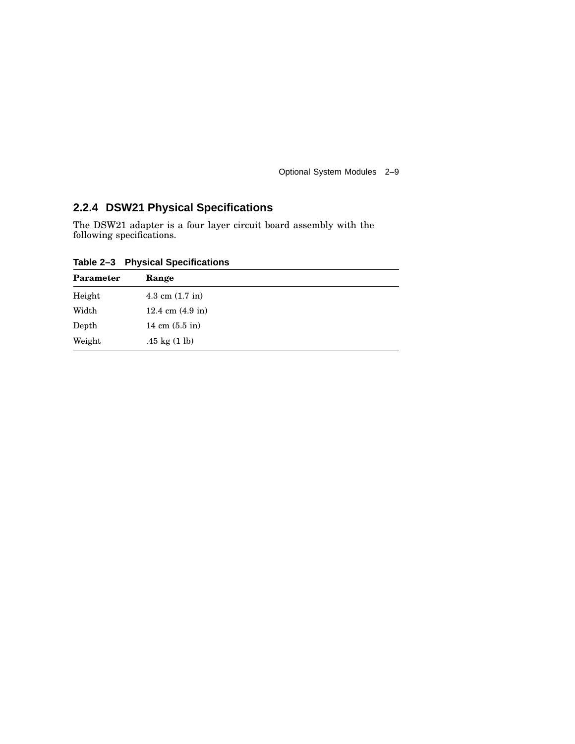Optional System Modules 2–9

## **2.2.4 DSW21 Physical Specifications**

The DSW21 adapter is a four layer circuit board assembly with the following specifications.

**Table 2–3 Physical Specifications**

| Parameter | Range                      |
|-----------|----------------------------|
| Height    | 4.3 cm $(1.7 \text{ in})$  |
| Width     | 12.4 cm $(4.9 \text{ in})$ |
| Depth     | 14 cm $(5.5 \text{ in})$   |
| Weight    | .45 kg $(1 \text{ lb})$    |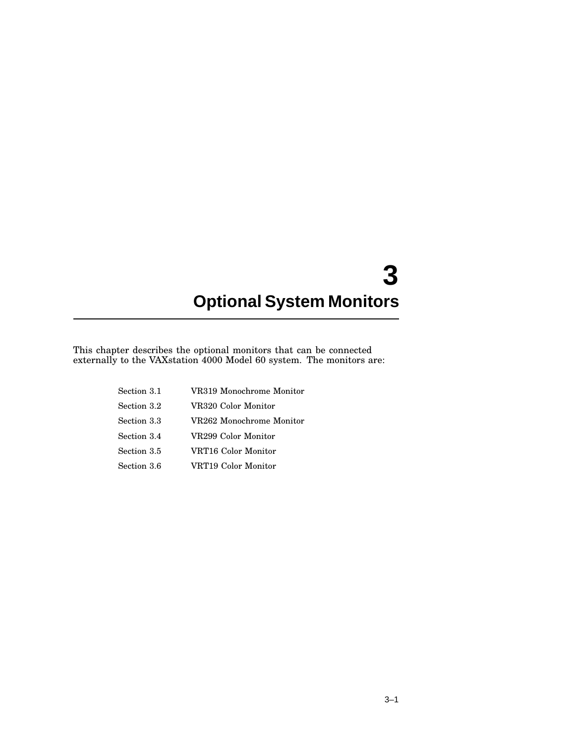## **3 Optional System Monitors**

This chapter describes the optional monitors that can be connected externally to the VAXstation 4000 Model 60 system. The monitors are:

| Section 3.1 | VR319 Monochrome Monitor |
|-------------|--------------------------|
| Section 3.2 | VR320 Color Monitor      |
| Section 3.3 | VR262 Monochrome Monitor |
| Section 3.4 | VR299 Color Monitor      |
| Section 3.5 | VRT16 Color Monitor      |
| Section 3.6 | VRT19 Color Monitor      |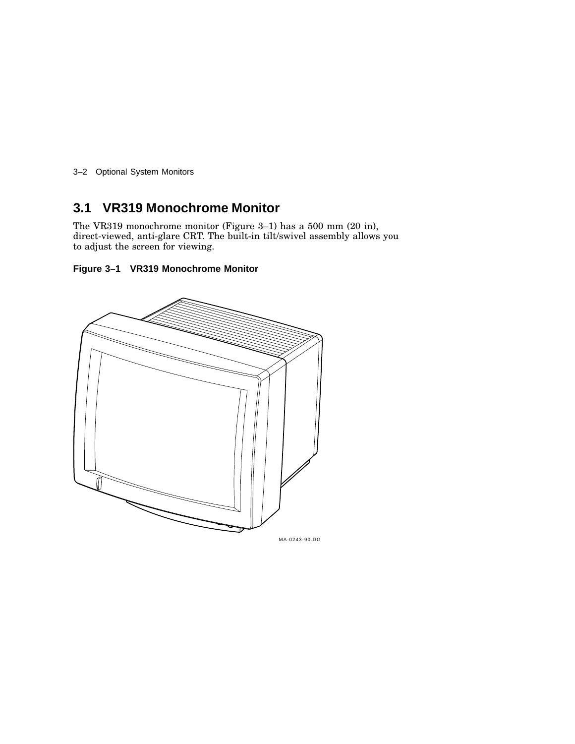3–2 Optional System Monitors

## **3.1 VR319 Monochrome Monitor**

The VR319 monochrome monitor (Figure 3–1) has a 500 mm (20 in), direct-viewed, anti-glare CRT. The built-in tilt/swivel assembly allows you to adjust the screen for viewing.

### **Figure 3–1 VR319 Monochrome Monitor**

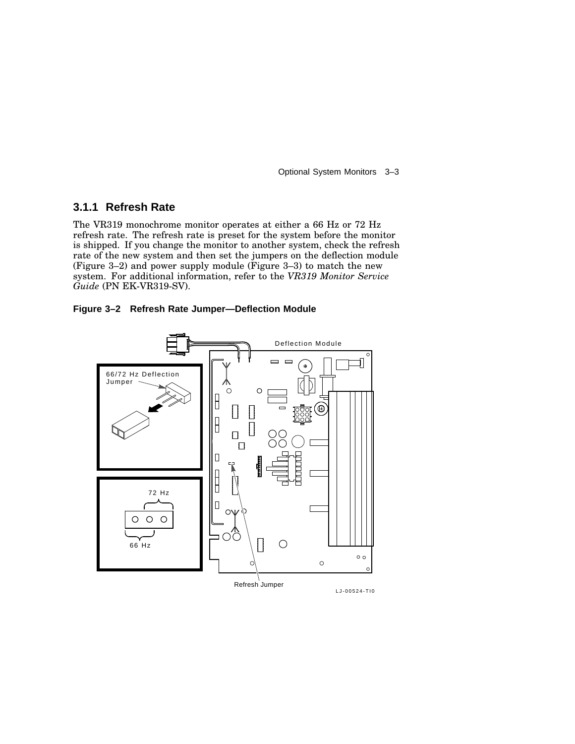Optional System Monitors 3–3

## **3.1.1 Refresh Rate**

The VR319 monochrome monitor operates at either a 66 Hz or 72 Hz refresh rate. The refresh rate is preset for the system before the monitor is shipped. If you change the monitor to another system, check the refresh rate of the new system and then set the jumpers on the deflection module (Figure 3–2) and power supply module (Figure 3–3) to match the new system. For additional information, refer to the *VR319 Monitor Service Guide* (PN EK-VR319-SV).



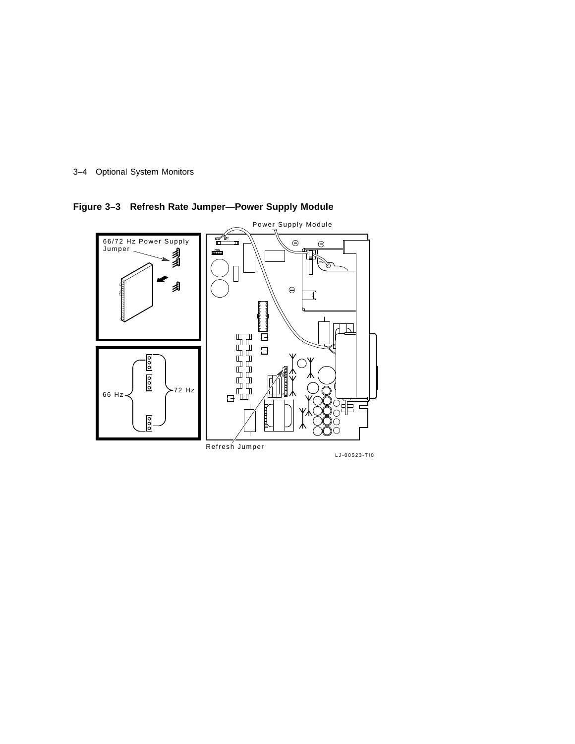



**Figure 3–3 Refresh Rate Jumper—Power Supply Module**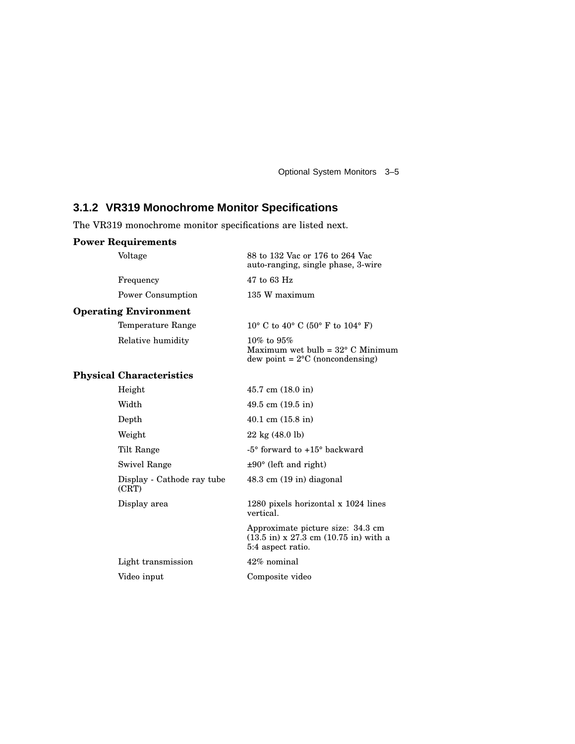Optional System Monitors 3–5

## **3.1.2 VR319 Monochrome Monitor Specifications**

The VR319 monochrome monitor specifications are listed next.

## **Power Requirements**

| Voltage                             | 88 to 132 Vac or 176 to 264 Vac<br>auto-ranging, single phase, 3-wire                                                           |
|-------------------------------------|---------------------------------------------------------------------------------------------------------------------------------|
| Frequency                           | 47 to 63 Hz                                                                                                                     |
| Power Consumption                   | 135 W maximum                                                                                                                   |
| <b>Operating Environment</b>        |                                                                                                                                 |
| Temperature Range                   | 10° C to 40° C (50° F to 104° F)                                                                                                |
| Relative humidity                   | $10\%$ to $95\%$<br>Maximum wet bulb = $32^{\circ}$ C Minimum<br>$dew point = 2°C (noncondensing)$                              |
| <b>Physical Characteristics</b>     |                                                                                                                                 |
| Height                              | $45.7 \text{ cm} (18.0 \text{ in})$                                                                                             |
| Width                               | 49.5 cm $(19.5 \text{ in})$                                                                                                     |
| Depth                               | $40.1 \text{ cm } (15.8 \text{ in})$                                                                                            |
| Weight                              | $22 \text{ kg} (48.0 \text{ lb})$                                                                                               |
| Tilt Range                          | -5° forward to +15° backward                                                                                                    |
| <b>Swivel Range</b>                 | $\pm 90^\circ$ (left and right)                                                                                                 |
| Display - Cathode ray tube<br>(CRT) | $48.3 \text{ cm}$ (19 in) diagonal                                                                                              |
| Display area                        | 1280 pixels horizontal x 1024 lines<br>vertical.                                                                                |
|                                     | Approximate picture size: 34.3 cm<br>$(13.5 \text{ in}) \times 27.3 \text{ cm } (10.75 \text{ in})$ with a<br>5:4 aspect ratio. |
| Light transmission                  | 42% nominal                                                                                                                     |
| Video input                         | Composite video                                                                                                                 |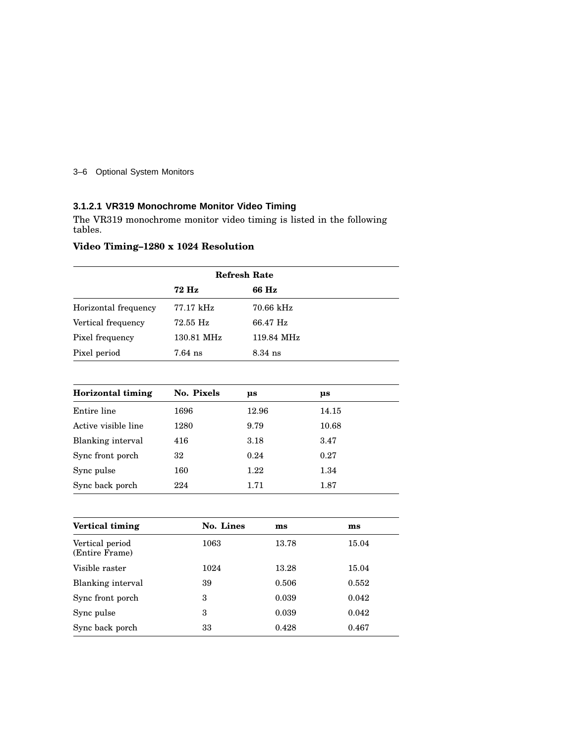#### 3–6 Optional System Monitors

## **3.1.2.1 VR319 Monochrome Monitor Video Timing**

The VR319 monochrome monitor video timing is listed in the following tables.

## **Video Timing–1280 x 1024 Resolution**

| <b>Refresh Rate</b>  |            |             |
|----------------------|------------|-------------|
|                      | 72 Hz      | 66 Hz       |
| Horizontal frequency | 77.17 kHz  | $70.66$ kHz |
| Vertical frequency   | 72.55 Hz   | 66.47 Hz    |
| Pixel frequency      | 130.81 MHz | 119.84 MHz  |
| Pixel period         | $7.64$ ns  | $8.34$ ns   |

| Horizontal timing   | No. Pixels | us    | μs    |
|---------------------|------------|-------|-------|
| Entire line         | 1696       | 12.96 | 14.15 |
| Active visible line | 1280       | 9.79  | 10.68 |
| Blanking interval   | 416        | 3.18  | 3.47  |
| Sync front porch    | 32         | 0.24  | 0.27  |
| Sync pulse          | 160        | 1.22  | 1.34  |
| Sync back porch     | 224        | 1.71  | 1.87  |

| Vertical timing                   | No. Lines | $\mathbf{m}\mathbf{s}$ | $\mathbf{m}\mathbf{s}$ |
|-----------------------------------|-----------|------------------------|------------------------|
| Vertical period<br>(Entire Frame) | 1063      | 13.78                  | 15.04                  |
| Visible raster                    | 1024      | 13.28                  | 15.04                  |
| Blanking interval                 | 39        | 0.506                  | 0.552                  |
| Sync front porch                  | 3         | 0.039                  | 0.042                  |
| Sync pulse                        | 3         | 0.039                  | 0.042                  |
| Sync back porch                   | 33        | 0.428                  | 0.467                  |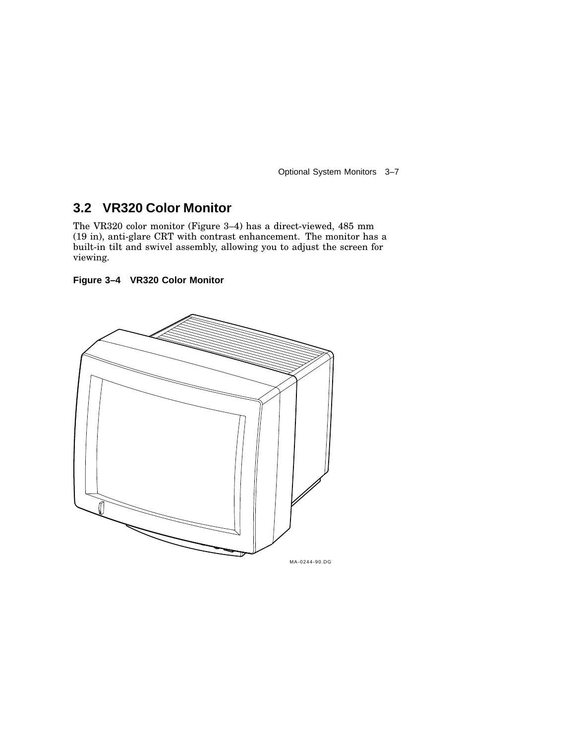Optional System Monitors 3–7

## **3.2 VR320 Color Monitor**

The VR320 color monitor (Figure 3–4) has a direct-viewed, 485 mm (19 in), anti-glare CRT with contrast enhancement. The monitor has a built-in tilt and swivel assembly, allowing you to adjust the screen for viewing.

**Figure 3–4 VR320 Color Monitor**

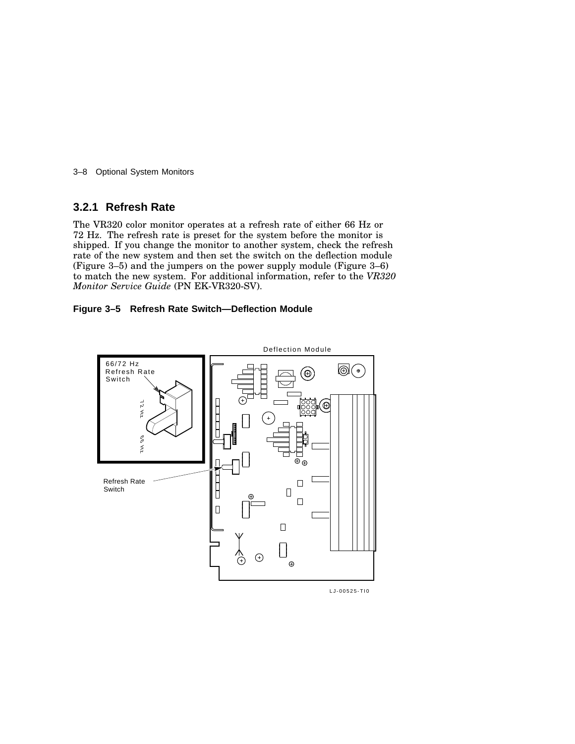3–8 Optional System Monitors

## **3.2.1 Refresh Rate**

The VR320 color monitor operates at a refresh rate of either 66 Hz or 72 Hz. The refresh rate is preset for the system before the monitor is shipped. If you change the monitor to another system, check the refresh rate of the new system and then set the switch on the deflection module (Figure 3–5) and the jumpers on the power supply module (Figure 3–6) to match the new system. For additional information, refer to the *VR320 Monitor Service Guide* (PN EK-VR320-SV).

#### **Figure 3–5 Refresh Rate Switch—Deflection Module**



LJ-00525-TI0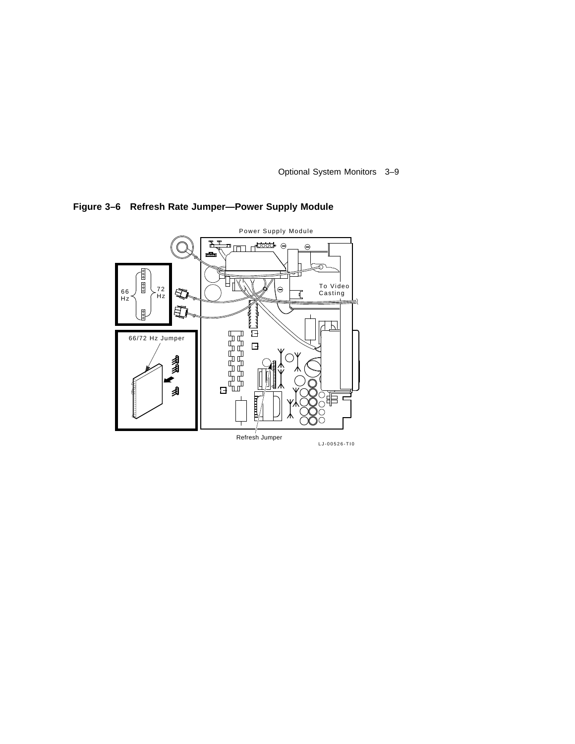Optional System Monitors 3–9



**Figure 3–6 Refresh Rate Jumper—Power Supply Module**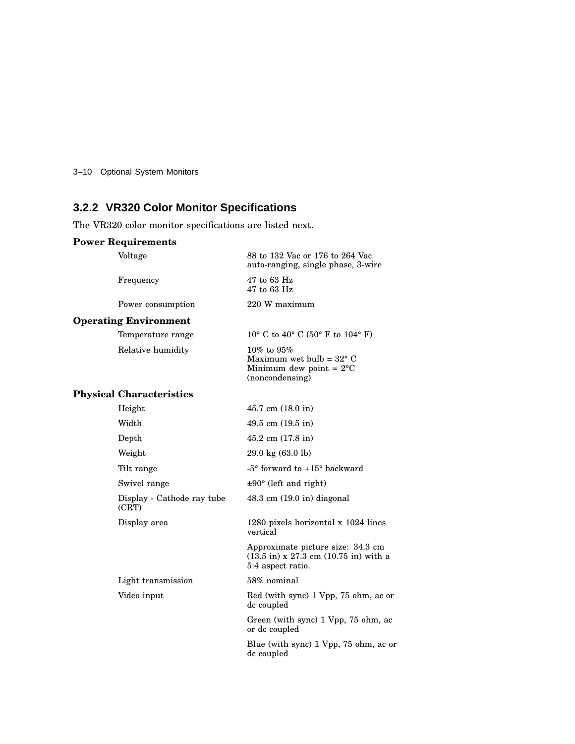3–10 Optional System Monitors

## **3.2.2 VR320 Color Monitor Specifications**

The VR320 color monitor specifications are listed next.

## **Power Requirements**

| Voltage                             | 88 to 132 Vac or 176 to 264 Vac<br>auto-ranging, single phase, 3-wire                                                           |
|-------------------------------------|---------------------------------------------------------------------------------------------------------------------------------|
| Frequency                           | 47 to 63 Hz<br>47 to 63 Hz                                                                                                      |
| Power consumption                   | 220 W maximum                                                                                                                   |
| <b>Operating Environment</b>        |                                                                                                                                 |
| Temperature range                   | 10° C to 40° C (50° F to 104° F)                                                                                                |
| Relative humidity                   | $10\%$ to $95\%$<br>Maximum wet bulb = $32^{\circ}$ C<br>Minimum dew point = $2^{\circ}C$<br>(noncondensing)                    |
| <b>Physical Characteristics</b>     |                                                                                                                                 |
| Height                              | $45.7$ cm $(18.0 \text{ in})$                                                                                                   |
| Width                               | 49.5 cm $(19.5 \text{ in})$                                                                                                     |
| Depth                               | $45.2$ cm $(17.8$ in)                                                                                                           |
| Weight                              | $29.0 \text{ kg} (63.0 \text{ lb})$                                                                                             |
| Tilt range                          | $-5^{\circ}$ forward to $+15^{\circ}$ backward                                                                                  |
| Swivel range                        | $\pm 90^\circ$ (left and right)                                                                                                 |
| Display - Cathode ray tube<br>(CRT) | $48.3 \text{ cm } (19.0 \text{ in})$ diagonal                                                                                   |
| Display area                        | 1280 pixels horizontal x 1024 lines<br>vertical                                                                                 |
|                                     | Approximate picture size: 34.3 cm<br>$(13.5 \text{ in}) \times 27.3 \text{ cm } (10.75 \text{ in})$ with a<br>5:4 aspect ratio. |
| Light transmission                  | 58% nominal                                                                                                                     |
| Video input                         | Red (with sync) 1 Vpp, 75 ohm, ac or<br>dc coupled                                                                              |
|                                     | Green (with sync) 1 Vpp, 75 ohm, ac<br>or dc coupled                                                                            |
|                                     | Blue (with sync) 1 Vpp, 75 ohm, ac or<br>dc coupled                                                                             |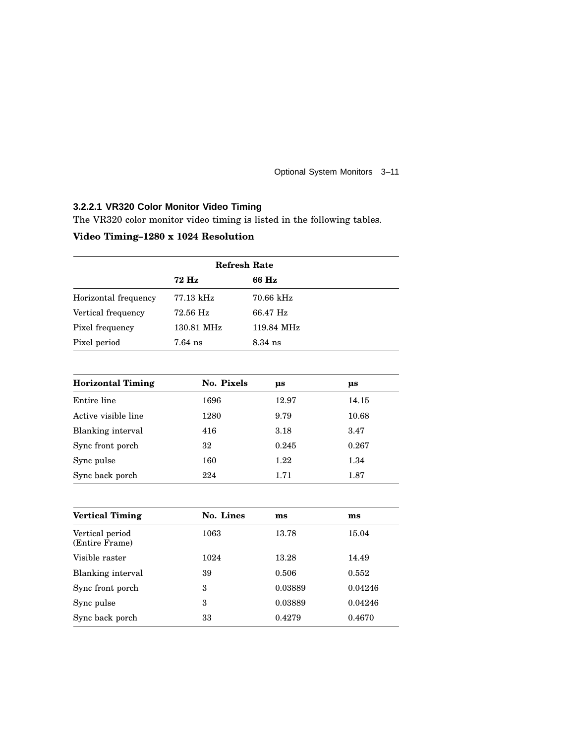Optional System Monitors 3–11

### **3.2.2.1 VR320 Color Monitor Video Timing**

The VR320 color monitor video timing is listed in the following tables.

## **Video Timing–1280 x 1024 Resolution**

| <b>Refresh Rate</b>  |            |            |  |
|----------------------|------------|------------|--|
|                      | 72 Hz      | 66 Hz      |  |
| Horizontal frequency | 77.13 kHz  | 70.66 kHz  |  |
| Vertical frequency   | 72.56 Hz   | 66.47 Hz   |  |
| Pixel frequency      | 130.81 MHz | 119.84 MHz |  |
| Pixel period         | $7.64$ ns  | $8.34$ ns  |  |

| <b>Horizontal Timing</b> | No. Pixels | μs    | μs    |
|--------------------------|------------|-------|-------|
| Entire line              | 1696       | 12.97 | 14.15 |
| Active visible line      | 1280       | 9.79  | 10.68 |
| Blanking interval        | 416        | 3.18  | 3.47  |
| Sync front porch         | 32         | 0.245 | 0.267 |
| Sync pulse               | 160        | 1.22  | 1.34  |
| Sync back porch          | 224        | 1.71  | 1.87  |

| <b>Vertical Timing</b>            | No. Lines | ms      | $\mathbf{m}\mathbf{s}$ |
|-----------------------------------|-----------|---------|------------------------|
| Vertical period<br>(Entire Frame) | 1063      | 13.78   | 15.04                  |
| Visible raster                    | 1024      | 13.28   | 14.49                  |
| Blanking interval                 | 39        | 0.506   | 0.552                  |
| Sync front porch                  | 3         | 0.03889 | 0.04246                |
| Sync pulse                        | 3         | 0.03889 | 0.04246                |
| Sync back porch                   | 33        | 0.4279  | 0.4670                 |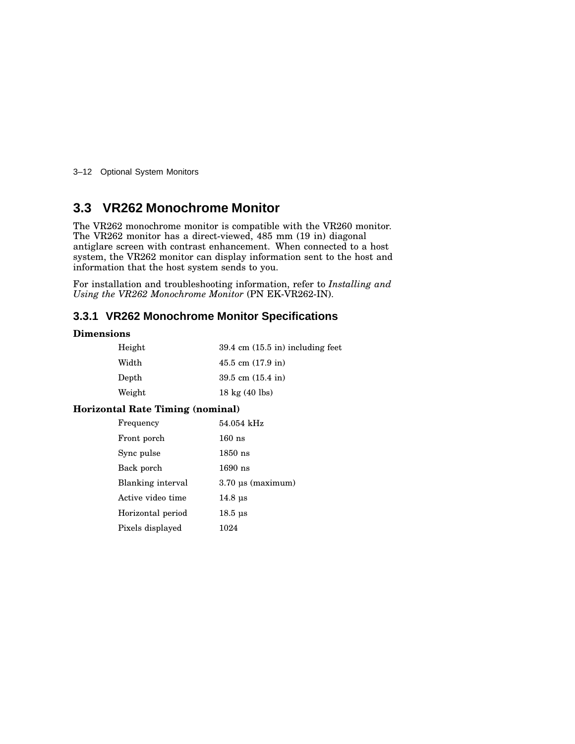3–12 Optional System Monitors

## **3.3 VR262 Monochrome Monitor**

The VR262 monochrome monitor is compatible with the VR260 monitor. The VR262 monitor has a direct-viewed, 485 mm (19 in) diagonal antiglare screen with contrast enhancement. When connected to a host system, the VR262 monitor can display information sent to the host and information that the host system sends to you.

For installation and troubleshooting information, refer to *Installing and Using the VR262 Monochrome Monitor* (PN EK-VR262-IN).

## **3.3.1 VR262 Monochrome Monitor Specifications**

#### **Dimensions**

| Height        | $39.4 \text{ cm } (15.5 \text{ in})$ including feet |
|---------------|-----------------------------------------------------|
| Width         | $45.5$ cm $(17.9)$ in                               |
| ${\rm Depth}$ | 39.5 cm $(15.4 \text{ in})$                         |
| Weight        | $18 \text{ kg} (40 \text{ lbs})$                    |

#### **Horizontal Rate Timing (nominal)**

| Frequency         | 54.054 kHz                 |
|-------------------|----------------------------|
| Front porch       | $160$ ns                   |
| Sync pulse        | $1850$ ns                  |
| Back porch        | $1690$ ns                  |
| Blanking interval | $3.70 \,\mu s$ (maximum)   |
| Active video time | $14.8 \text{ us}$          |
| Horizontal period | $18.5 \text{ }\mu\text{s}$ |
| Pixels displayed  | 1024                       |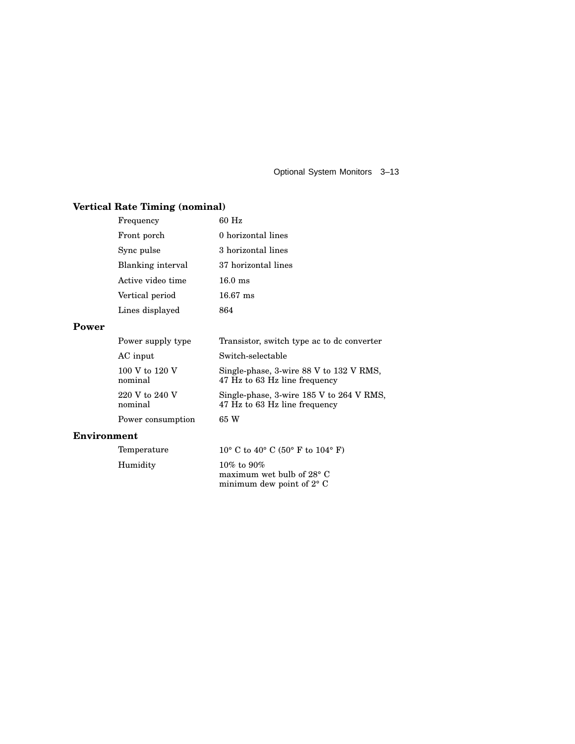Optional System Monitors 3–13

## **Vertical Rate Timing (nominal)**

|                    | Frequency                 | $60$ Hz                                                                             |
|--------------------|---------------------------|-------------------------------------------------------------------------------------|
|                    | Front porch               | 0 horizontal lines                                                                  |
|                    | Sync pulse                | 3 horizontal lines                                                                  |
|                    | Blanking interval         | 37 horizontal lines                                                                 |
|                    | Active video time         | $16.0$ ms                                                                           |
|                    | Vertical period           | $16.67$ ms                                                                          |
|                    | Lines displayed           | 864                                                                                 |
| Power              |                           |                                                                                     |
|                    | Power supply type         | Transistor, switch type ac to dc converter                                          |
|                    | AC input                  | Switch-selectable                                                                   |
|                    | 100 V to 120 V<br>nominal | Single-phase, 3-wire 88 V to 132 V RMS,<br>47 Hz to 63 Hz line frequency            |
|                    | 220 V to 240 V<br>nominal | Single-phase, 3-wire 185 V to 264 V RMS,<br>47 Hz to 63 Hz line frequency           |
|                    | Power consumption         | 65 W                                                                                |
| <b>Environment</b> |                           |                                                                                     |
|                    | Temperature               | 10° C to 40° C (50° F to 104° F)                                                    |
|                    | Humidity                  | $10\%$ to $90\%$<br>maximum wet bulb of $28^{\circ}$ C<br>minimum dew point of 2° C |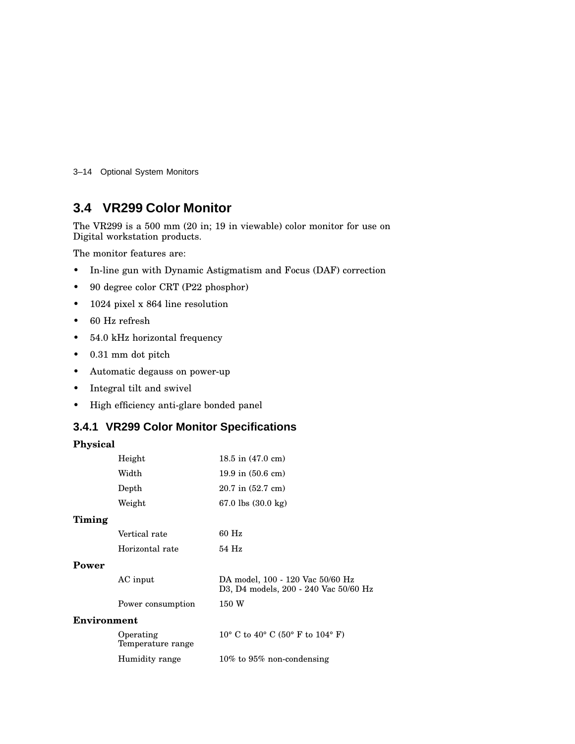3–14 Optional System Monitors

## **3.4 VR299 Color Monitor**

The VR299 is a 500 mm (20 in; 19 in viewable) color monitor for use on Digital workstation products.

The monitor features are:

- In-line gun with Dynamic Astigmatism and Focus (DAF) correction
- 90 degree color CRT (P22 phosphor)
- 1024 pixel x 864 line resolution
- 60 Hz refresh
- 54.0 kHz horizontal frequency
- 0.31 mm dot pitch
- Automatic degauss on power-up
- Integral tilt and swivel
- High efficiency anti-glare bonded panel

## **3.4.1 VR299 Color Monitor Specifications**

## **Physical**

|             | Height                         | $18.5$ in $(47.0 \text{ cm})$                                             |
|-------------|--------------------------------|---------------------------------------------------------------------------|
|             | Width                          | $19.9$ in $(50.6$ cm)                                                     |
|             | Depth                          | $20.7$ in $(52.7$ cm)                                                     |
|             | Weight                         | 67.0 lbs $(30.0 \text{ kg})$                                              |
| Timing      |                                |                                                                           |
|             | Vertical rate                  | $60$ Hz                                                                   |
|             | Horizontal rate                | 54 Hz                                                                     |
| Power       |                                |                                                                           |
|             | AC input                       | DA model, 100 - 120 Vac 50/60 Hz<br>D3, D4 models, 200 - 240 Vac 50/60 Hz |
|             | Power consumption              | 150 W                                                                     |
| Environment |                                |                                                                           |
|             | Operating<br>Temperature range | 10° C to 40° C (50° F to 104° F)                                          |
|             | Humidity range                 | $10\%$ to $95\%$ non-condensing                                           |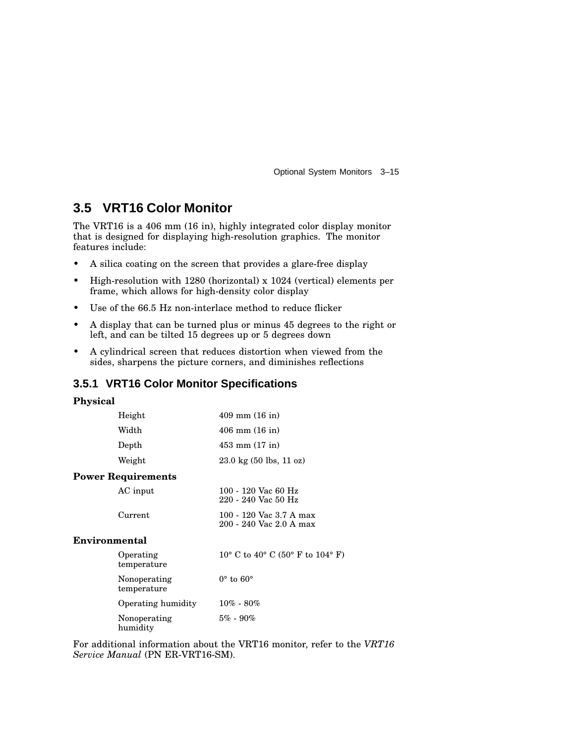Optional System Monitors 3–15

## **3.5 VRT16 Color Monitor**

The VRT16 is a 406 mm (16 in), highly integrated color display monitor that is designed for displaying high-resolution graphics. The monitor features include:

- A silica coating on the screen that provides a glare-free display
- High-resolution with 1280 (horizontal) x 1024 (vertical) elements per frame, which allows for high-density color display
- Use of the 66.5 Hz non-interlace method to reduce flicker
- A display that can be turned plus or minus 45 degrees to the right or left, and can be tilted 15 degrees up or 5 degrees down
- A cylindrical screen that reduces distortion when viewed from the sides, sharpens the picture corners, and diminishes reflections

#### **3.5.1 VRT16 Color Monitor Specifications**

#### **Physical**

**Power** 

| Height       | $409 \text{ mm} (16 \text{ in})$  |
|--------------|-----------------------------------|
| Width        | $406$ mm $(16$ in)                |
| Depth        | $453 \text{ mm} (17 \text{ in})$  |
| Weight       | $23.0 \text{ kg}$ (50 lbs, 11 oz) |
| Requirements |                                   |
|              |                                   |

| AC input | 100 - 120 Vac 60 Hz<br>$220 - 240$ Vac 50 Hz       |
|----------|----------------------------------------------------|
| Current  | 100 - 120 Vac 3.7 A max<br>200 - 240 Vac 2.0 A max |

#### **Environmental**

| Operating<br>temperature    | 10° C to 40° C (50° F to 104° F) |
|-----------------------------|----------------------------------|
| Nonoperating<br>temperature | $0^{\circ}$ to $60^{\circ}$      |
| Operating humidity          | $10\% - 80\%$                    |
| Nonoperating<br>humidity    | $5\% - 90\%$                     |

For additional information about the VRT16 monitor, refer to the *VRT16 Service Manual* (PN ER-VRT16-SM).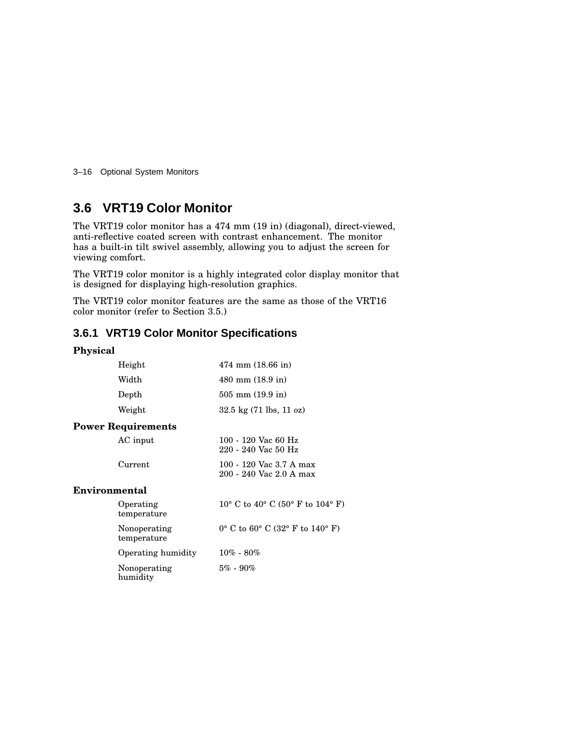3–16 Optional System Monitors

## **3.6 VRT19 Color Monitor**

The VRT19 color monitor has a 474 mm (19 in) (diagonal), direct-viewed, anti-reflective coated screen with contrast enhancement. The monitor has a built-in tilt swivel assembly, allowing you to adjust the screen for viewing comfort.

The VRT19 color monitor is a highly integrated color display monitor that is designed for displaying high-resolution graphics.

The VRT19 color monitor features are the same as those of the VRT16 color monitor (refer to Section 3.5.)

## **3.6.1 VRT19 Color Monitor Specifications**

#### **Physical**

| Height                      | $474$ mm $(18.66)$ in                                               |
|-----------------------------|---------------------------------------------------------------------|
| Width                       | 480 mm (18.9 in)                                                    |
| Depth                       | $505 \text{ mm}$ (19.9 in)                                          |
| Weight                      | $32.5 \text{ kg} (71 \text{ lbs}, 11 \text{ oz})$                   |
| <b>Power Requirements</b>   |                                                                     |
| AC input                    | 100 - 120 Vac 60 Hz<br>220 - 240 Vac 50 Hz                          |
| Current                     | 100 - 120 Vac 3.7 A max<br>200 - 240 Vac 2.0 A max                  |
| Environmental               |                                                                     |
| Operating<br>temperature    | 10° C to 40° C (50° F to 104° F)                                    |
| Nonoperating<br>temperature | $0^{\circ}$ C to $60^{\circ}$ C $(32^{\circ}$ F to $140^{\circ}$ F) |
| Operating humidity          | $10\% - 80\%$                                                       |
| Nonoperating<br>humidity    | $5\% - 90\%$                                                        |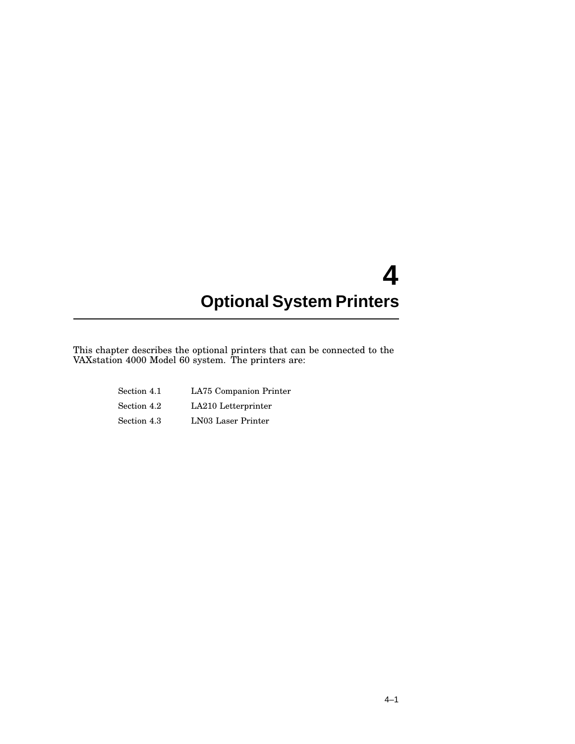This chapter describes the optional printers that can be connected to the VAXstation 4000 Model 60 system. The printers are:

| Section 4.1 | LA75 Companion Printer |
|-------------|------------------------|
| Section 4.2 | LA210 Letterprinter    |
| Section 4.3 | LN03 Laser Printer     |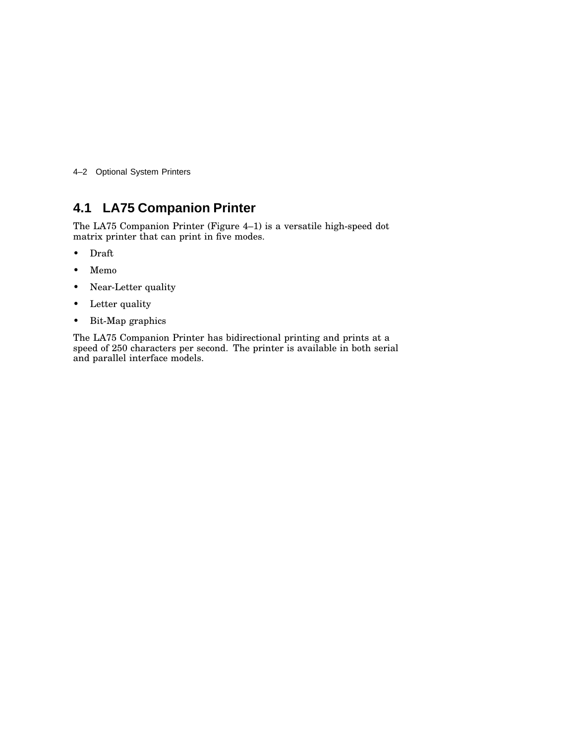4–2 Optional System Printers

## **4.1 LA75 Companion Printer**

The LA75 Companion Printer (Figure 4–1) is a versatile high-speed dot matrix printer that can print in five modes.

- Draft
- Memo
- Near-Letter quality
- Letter quality
- Bit-Map graphics

The LA75 Companion Printer has bidirectional printing and prints at a speed of 250 characters per second. The printer is available in both serial and parallel interface models.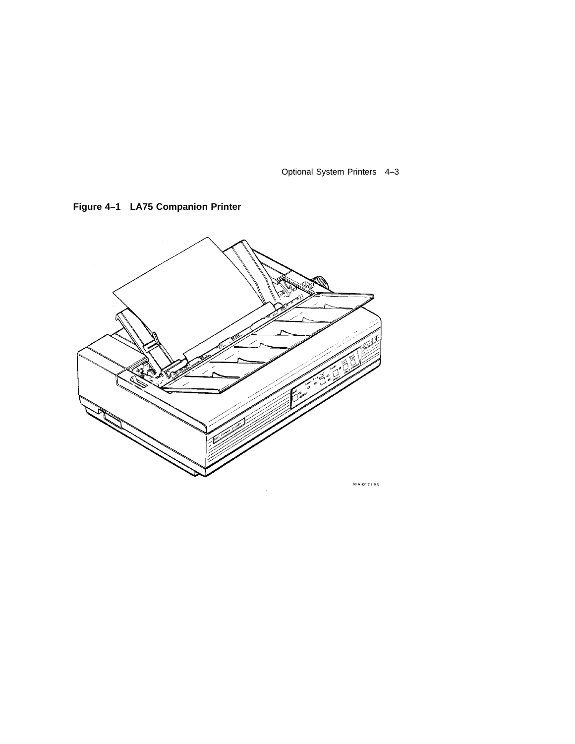

**Figure 4–1 LA75 Companion Printer**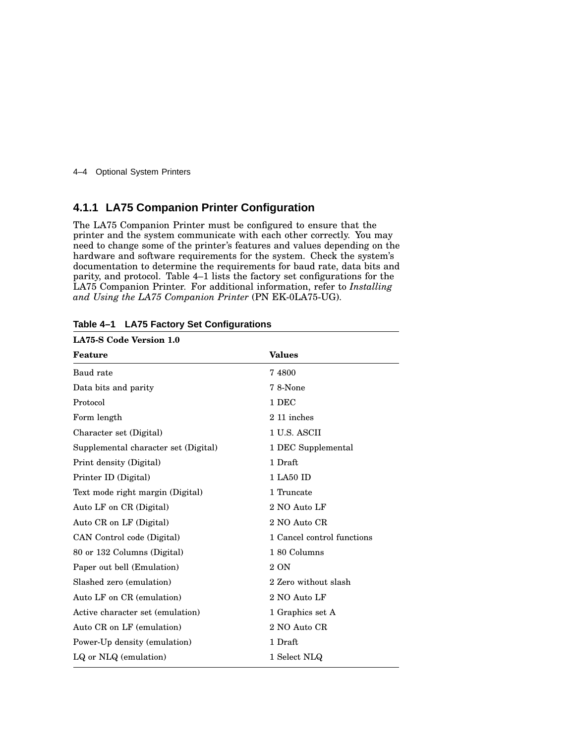4–4 Optional System Printers

## **4.1.1 LA75 Companion Printer Configuration**

The LA75 Companion Printer must be configured to ensure that the printer and the system communicate with each other correctly. You may need to change some of the printer's features and values depending on the hardware and software requirements for the system. Check the system's documentation to determine the requirements for baud rate, data bits and parity, and protocol. Table 4–1 lists the factory set configurations for the LA75 Companion Printer. For additional information, refer to *Installing and Using the LA75 Companion Printer* (PN EK-0LA75-UG).

| <b>LA75-S Code Version 1.0</b>       |                            |
|--------------------------------------|----------------------------|
| Feature                              | <b>Values</b>              |
| Baud rate                            | 74800                      |
| Data bits and parity                 | 78-None                    |
| Protocol                             | 1 DEC                      |
| Form length                          | 2 11 inches                |
| Character set (Digital)              | 1 U.S. ASCII               |
| Supplemental character set (Digital) | 1 DEC Supplemental         |
| Print density (Digital)              | 1 Draft                    |
| Printer ID (Digital)                 | 1 LA50 ID                  |
| Text mode right margin (Digital)     | 1 Truncate                 |
| Auto LF on CR (Digital)              | 2 NO Auto LF               |
| Auto CR on LF (Digital)              | 2 NO Auto CR               |
| CAN Control code (Digital)           | 1 Cancel control functions |
| 80 or 132 Columns (Digital)          | 180 Columns                |
| Paper out bell (Emulation)           | 2 ON                       |
| Slashed zero (emulation)             | 2 Zero without slash       |
| Auto LF on CR (emulation)            | 2 NO Auto LF               |
| Active character set (emulation)     | 1 Graphics set A           |
| Auto CR on LF (emulation)            | 2 NO Auto CR               |
| Power-Up density (emulation)         | 1 Draft                    |
| LQ or NLQ (emulation)                | 1 Select NLQ               |

**Table 4–1 LA75 Factory Set Configurations**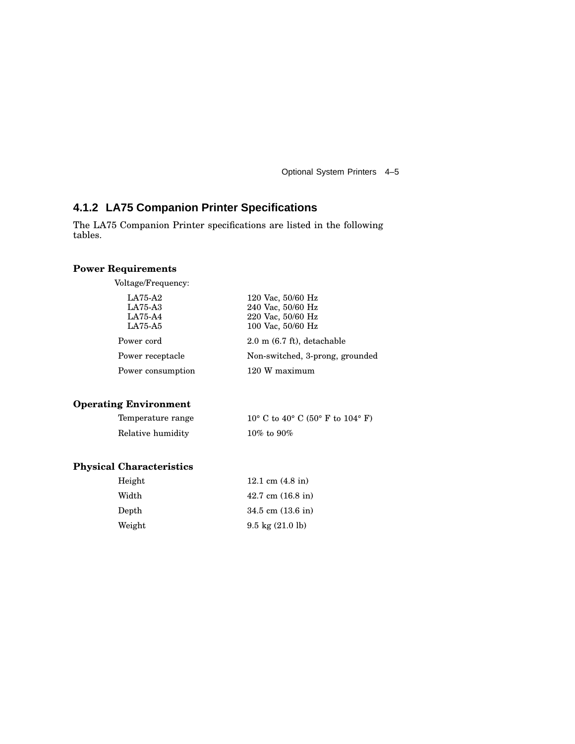## **4.1.2 LA75 Companion Printer Specifications**

The LA75 Companion Printer specifications are listed in the following tables.

#### **Power Requirements**

Voltage/Frequency:

| LA75-A2<br>$LA75-A3$<br>LA75-A4<br>LA75-A5 | 120 Vac, $50/60$ Hz<br>240 Vac, 50/60 Hz<br>220 Vac, 50/60 Hz<br>100 Vac, 50/60 Hz |
|--------------------------------------------|------------------------------------------------------------------------------------|
| Power cord                                 | $2.0 \text{ m}$ (6.7 ft), detachable                                               |
| Power receptacle                           | Non-switched, 3-prong, grounded                                                    |
| Power consumption                          | 120 W maximum                                                                      |

#### **Operating Environment**

| Temperature range | $10^{\circ}$ C to $40^{\circ}$ C (50° F to $104^{\circ}$ F) |
|-------------------|-------------------------------------------------------------|
| Relative humidity | $10\%$ to $90\%$                                            |

## **Physical Characteristics**

| Height | 12.1 cm $(4.8 \text{ in})$         |
|--------|------------------------------------|
| Width  | $42.7 \text{ cm}$ (16.8 in)        |
| Depth  | $34.5$ cm $(13.6)$ in              |
| Weight | $9.5 \text{ kg} (21.0 \text{ lb})$ |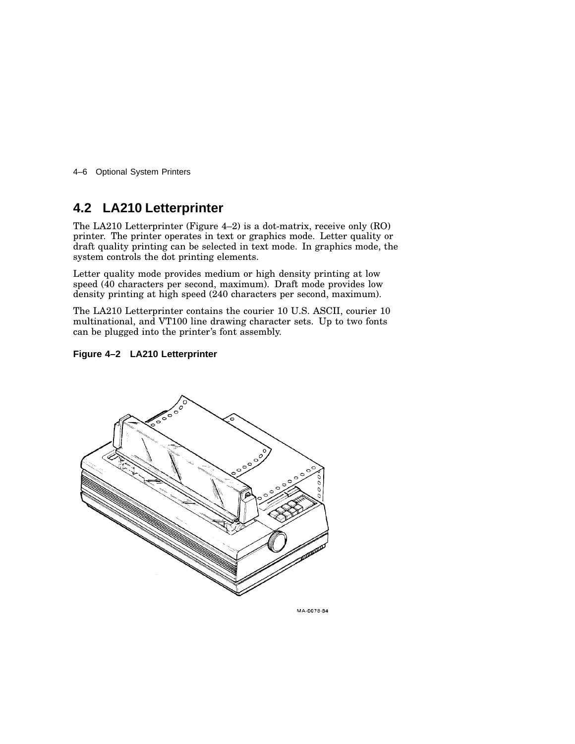4–6 Optional System Printers

## **4.2 LA210 Letterprinter**

The LA210 Letterprinter (Figure 4–2) is a dot-matrix, receive only (RO) printer. The printer operates in text or graphics mode. Letter quality or draft quality printing can be selected in text mode. In graphics mode, the system controls the dot printing elements.

Letter quality mode provides medium or high density printing at low speed (40 characters per second, maximum). Draft mode provides low density printing at high speed (240 characters per second, maximum).

The LA210 Letterprinter contains the courier 10 U.S. ASCII, courier 10 multinational, and VT100 line drawing character sets. Up to two fonts can be plugged into the printer's font assembly.





MA-0078-84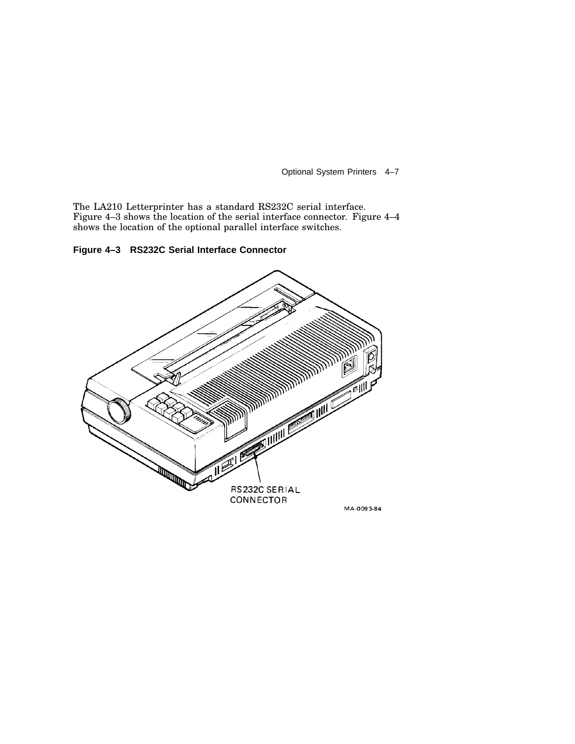The LA210 Letterprinter has a standard RS232C serial interface. Figure 4–3 shows the location of the serial interface connector. Figure 4–4 shows the location of the optional parallel interface switches.

**Figure 4–3 RS232C Serial Interface Connector**



MA-0093-84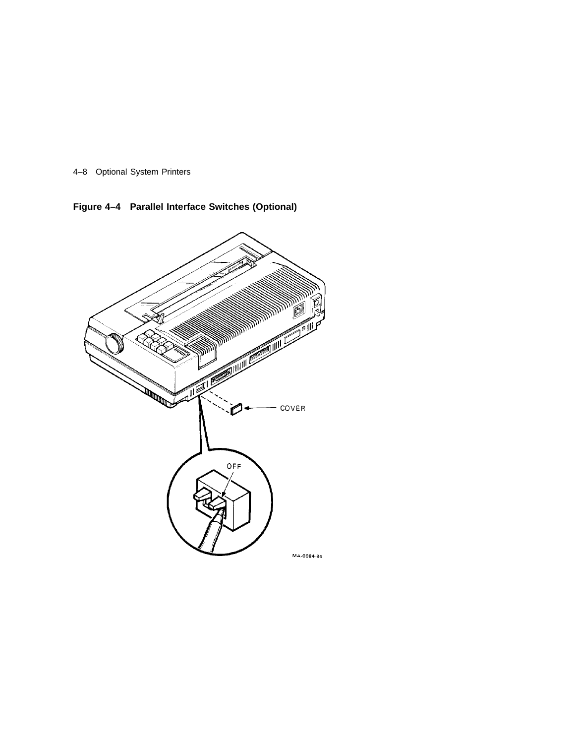

**Figure 4–4 Parallel Interface Switches (Optional)**

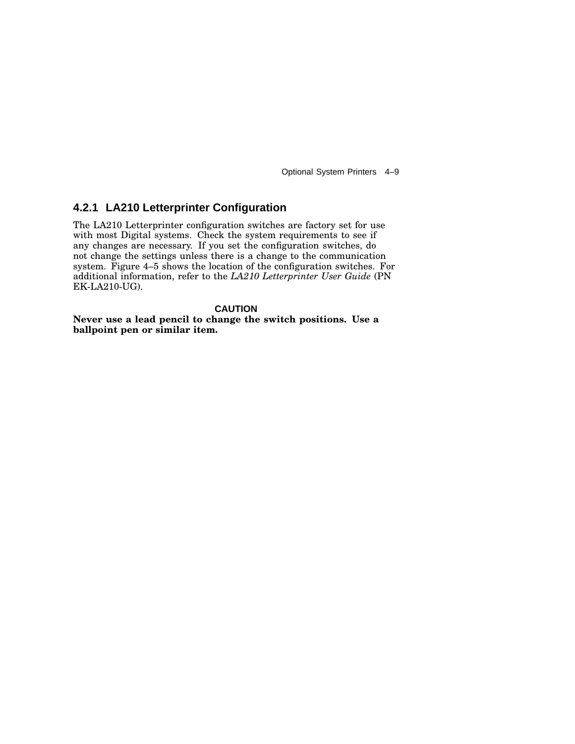## **4.2.1 LA210 Letterprinter Configuration**

The LA210 Letterprinter configuration switches are factory set for use with most Digital systems. Check the system requirements to see if any changes are necessary. If you set the configuration switches, do not change the settings unless there is a change to the communication system. Figure 4–5 shows the location of the configuration switches. For additional information, refer to the *LA210 Letterprinter User Guide* (PN EK-LA210-UG).

#### **CAUTION**

**Never use a lead pencil to change the switch positions. Use a ballpoint pen or similar item.**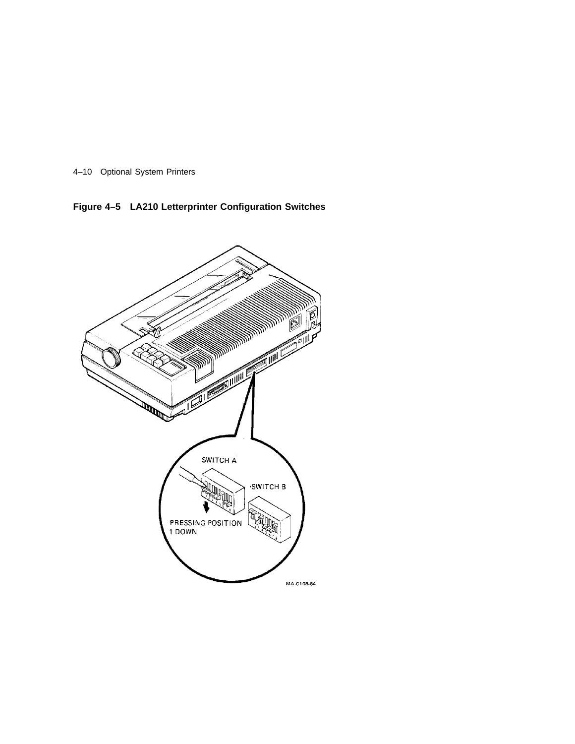

**Figure 4–5 LA210 Letterprinter Configuration Switches**

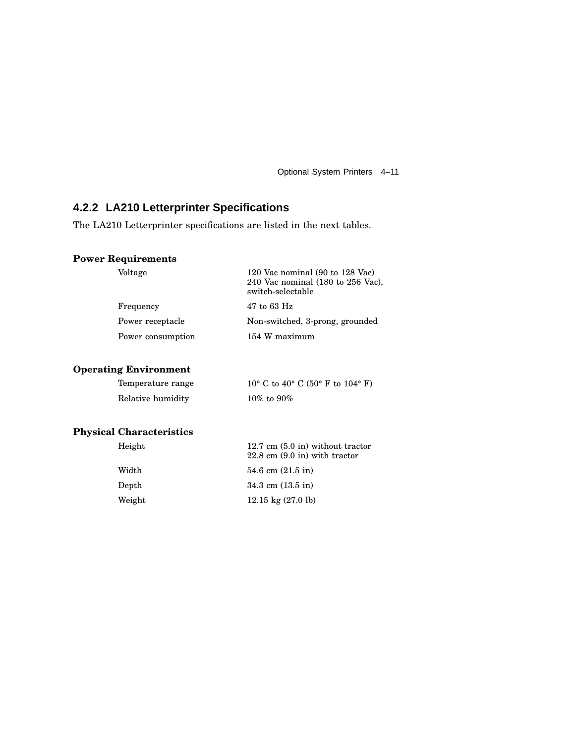## **4.2.2 LA210 Letterprinter Specifications**

The LA210 Letterprinter specifications are listed in the next tables.

### **Power Requirements**

| Voltage           | 120 Vac nominal (90 to 128 Vac)<br>240 Vac nominal $(180 \text{ to } 256 \text{ Vac})$ ,<br>switch-selectable |
|-------------------|---------------------------------------------------------------------------------------------------------------|
| Frequency         | 47 to 63 Hz                                                                                                   |
| Power receptacle  | Non-switched, 3-prong, grounded                                                                               |
| Power consumption | 154 W maximum                                                                                                 |
|                   |                                                                                                               |

## **Operating Environment**

| Temperature range | 10° C to 40° C (50° F to 104° F) |
|-------------------|----------------------------------|
| Relative humidity | $10\%$ to $90\%$                 |

## **Physical Characteristics**

| Height | $12.7 \text{ cm}$ (5.0 in) without tractor<br>$22.8 \text{ cm } (9.0 \text{ in})$ with tractor |
|--------|------------------------------------------------------------------------------------------------|
| Width  | 54.6 cm $(21.5 \text{ in})$                                                                    |
| Depth  | $34.3$ cm $(13.5 \text{ in})$                                                                  |
| Weight | $12.15 \text{ kg} (27.0 \text{ lb})$                                                           |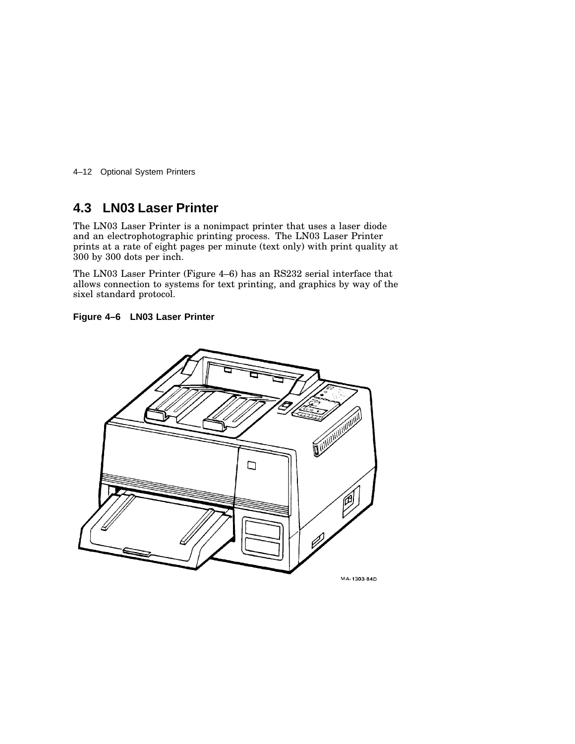4–12 Optional System Printers

## **4.3 LN03 Laser Printer**

The LN03 Laser Printer is a nonimpact printer that uses a laser diode and an electrophotographic printing process. The LN03 Laser Printer prints at a rate of eight pages per minute (text only) with print quality at 300 by 300 dots per inch.

The LN03 Laser Printer (Figure 4–6) has an RS232 serial interface that allows connection to systems for text printing, and graphics by way of the sixel standard protocol.



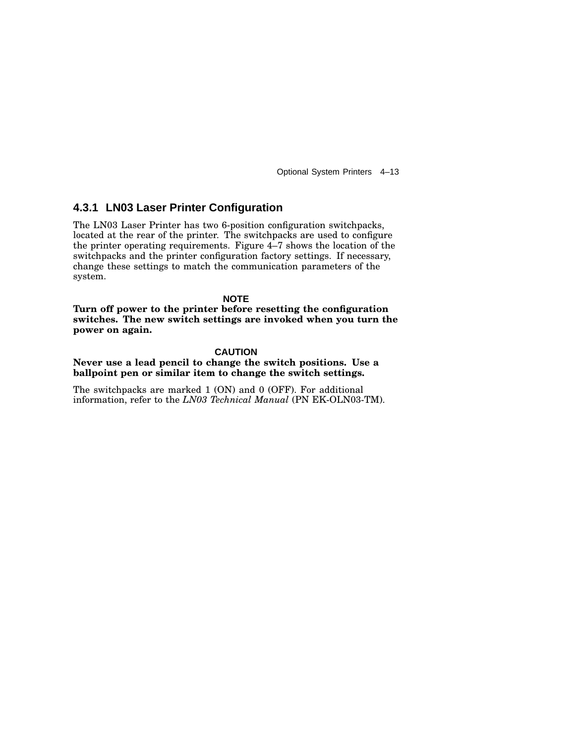#### **4.3.1 LN03 Laser Printer Configuration**

The LN03 Laser Printer has two 6-position configuration switchpacks, located at the rear of the printer. The switchpacks are used to configure the printer operating requirements. Figure 4–7 shows the location of the switchpacks and the printer configuration factory settings. If necessary, change these settings to match the communication parameters of the system.

**NOTE**

**Turn off power to the printer before resetting the configuration switches. The new switch settings are invoked when you turn the power on again.**

#### **CAUTION**

**Never use a lead pencil to change the switch positions. Use a ballpoint pen or similar item to change the switch settings.**

The switchpacks are marked 1 (ON) and 0 (OFF). For additional information, refer to the *LN03 Technical Manual* (PN EK-OLN03-TM).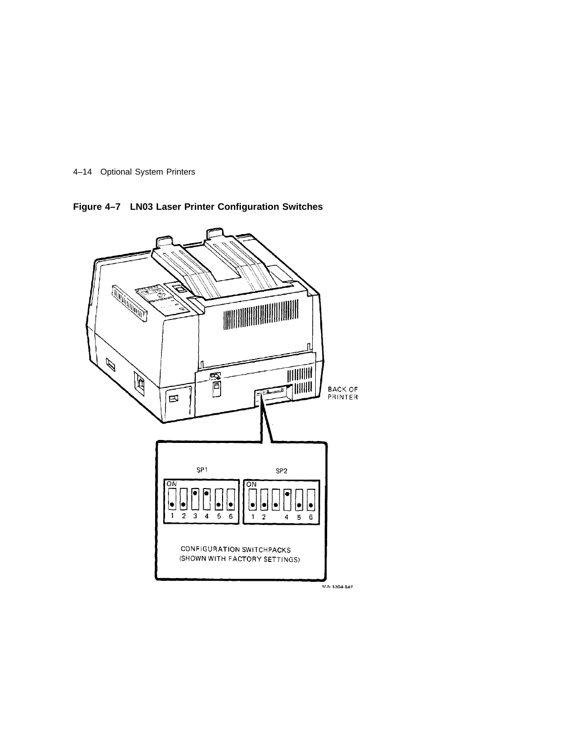

**Figure 4–7 LN03 Laser Printer Configuration Switches**

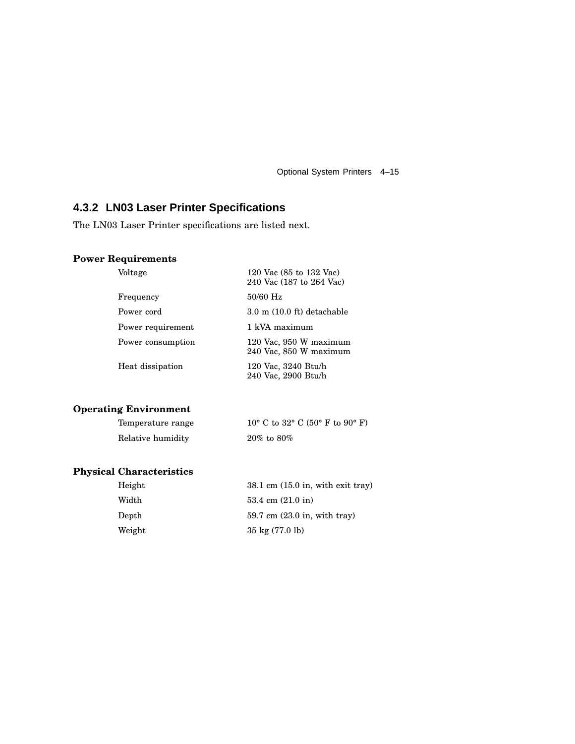## **4.3.2 LN03 Laser Printer Specifications**

The LN03 Laser Printer specifications are listed next.

## **Power Requirements**

| Voltage           | 120 Vac (85 to 132 Vac)<br>240 Vac (187 to 264 Vac) |  |
|-------------------|-----------------------------------------------------|--|
| Frequency         | 50/60 Hz                                            |  |
| Power cord        | $3.0$ m $(10.0 \text{ ft})$ detachable              |  |
| Power requirement | 1 kVA maximum                                       |  |
| Power consumption | 120 Vac, 950 W maximum<br>240 Vac, 850 W maximum    |  |
| Heat dissipation  | 120 Vac, 3240 Btu/h<br>240 Vac, 2900 Btu/h          |  |

## **Operating Environment**

| Temperature range | 10° C to 32° C (50° F to 90° F) |
|-------------------|---------------------------------|
| Relative humidity | $20\%$ to $80\%$                |

## **Physical Characteristics**

| Height | $38.1 \text{ cm } (15.0 \text{ in}, \text{with exit } \text{trav})$ |
|--------|---------------------------------------------------------------------|
| Width  | 53.4 cm $(21.0 \text{ in})$                                         |
| Depth  | $59.7 \text{ cm}$ (23.0 in, with tray)                              |
| Weight | $35 \text{ kg} (77.0 \text{ lb})$                                   |